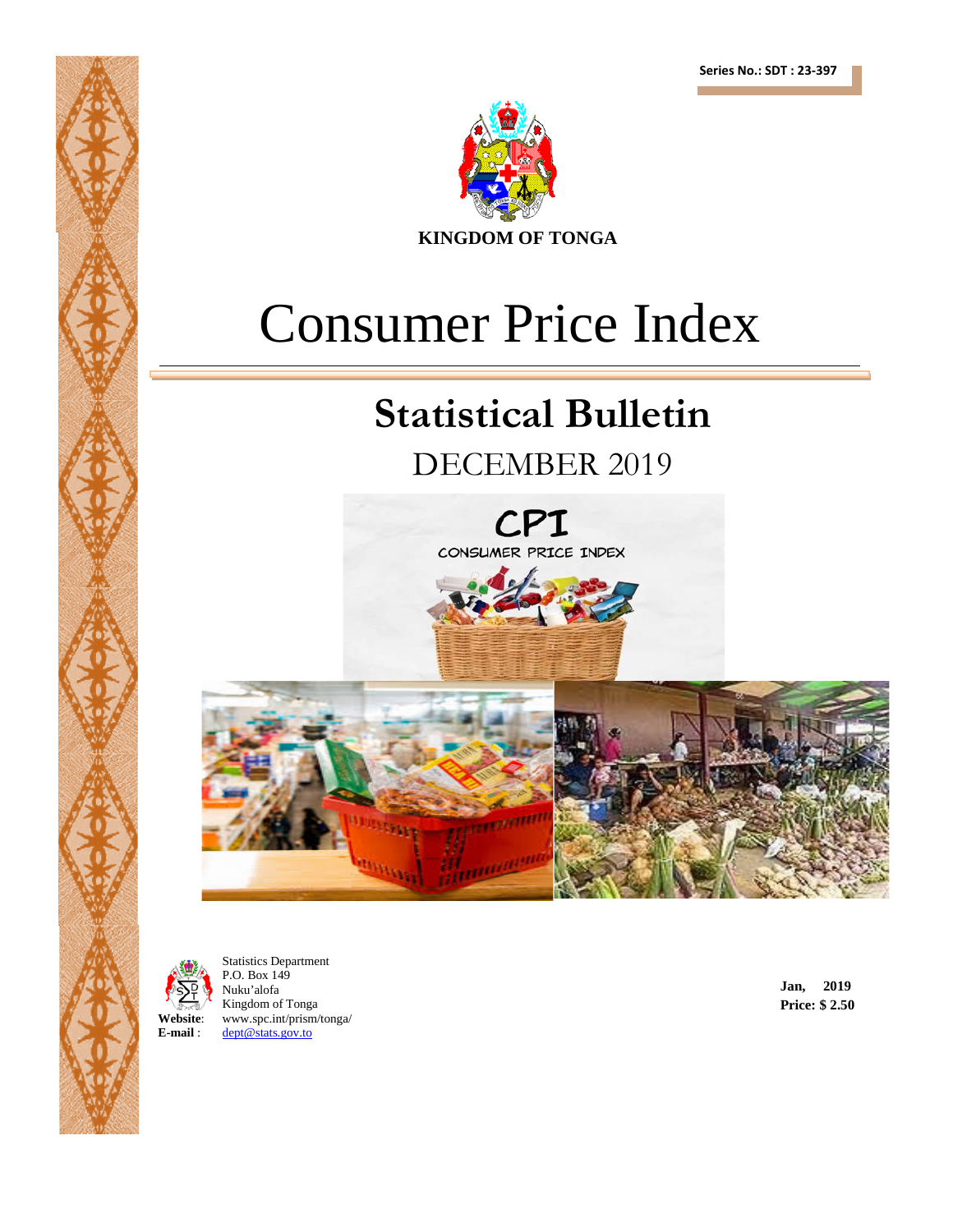

# Consumer Price Index

## **Statistical Bulletin**

## DECEMBER 2019







Statistics Department P.O. Box 149 Nuku'alofa Kingdom of Tonga **Website:** www.spc.int/prism/tonga/<br>**E-mail:** dept@stats.gov.to **E-mail** : [dept@stats.gov.to](mailto:dept@stats.gov.to)

**Jan, 2019 Price: \$ 2.50**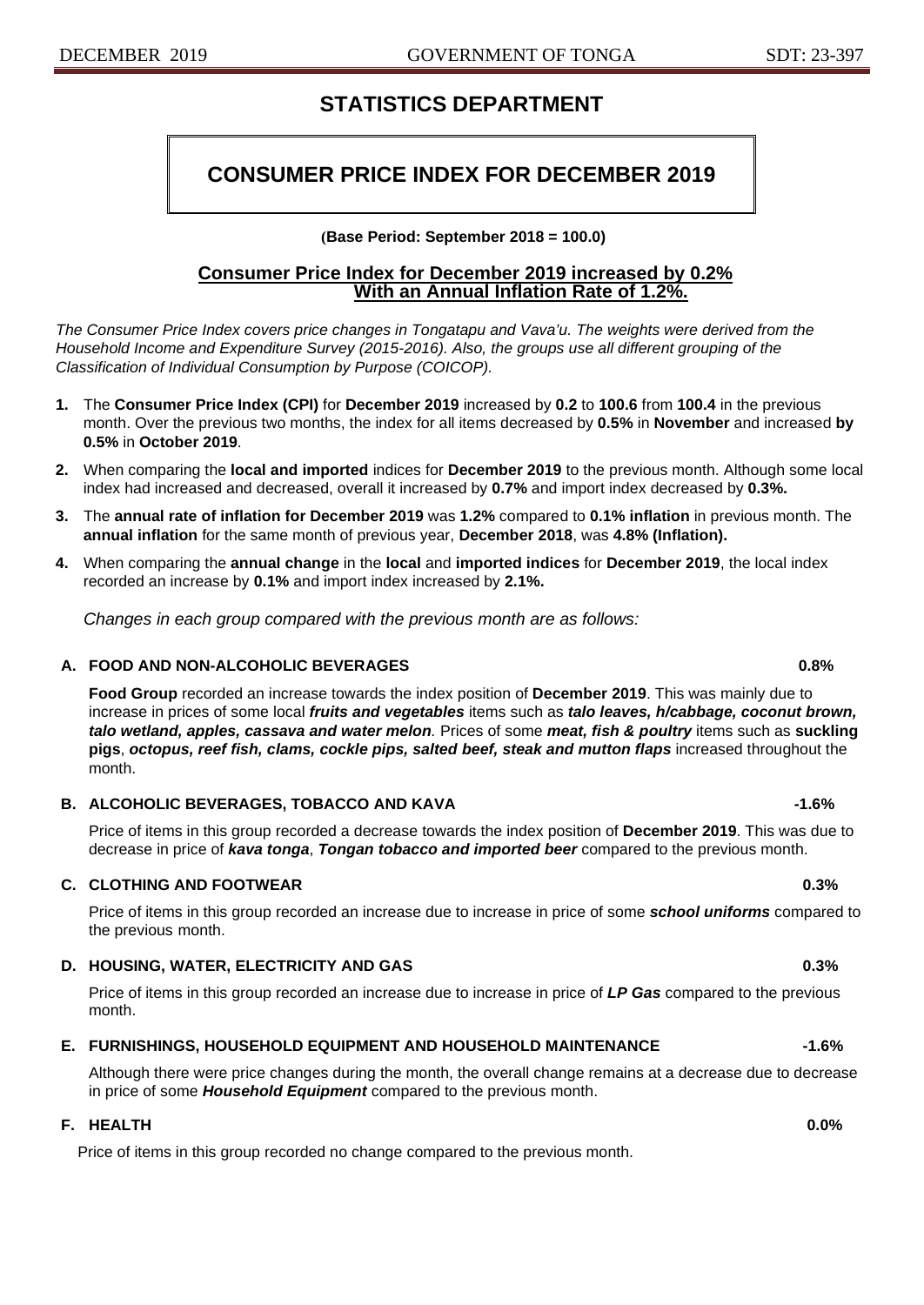## **STATISTICS DEPARTMENT**

## **CONSUMER PRICE INDEX FOR DECEMBER 2019**

**(Base Period: September 2018 = 100.0)**

#### **Consumer Price Index for December 2019 increased by 0.2% With an Annual Inflation Rate of 1.2%.**

*The Consumer Price Index covers price changes in Tongatapu and Vava'u. The weights were derived from the Household Income and Expenditure Survey (2015-2016). Also, the groups use all different grouping of the Classification of Individual Consumption by Purpose (COICOP).*

- **1.** The **Consumer Price Index (CPI)** for **December 2019** increased by **0.2** to **100.6** from **100.4** in the previous month. Over the previous two months, the index for all items decreased by **0.5%** in **November** and increased **by 0.5%** in **October 2019**.
- **2.** When comparing the **local and imported** indices for **December 2019** to the previous month. Although some local index had increased and decreased, overall it increased by **0.7%** and import index decreased by **0.3%.**
- **3.** The **annual rate of inflation for December 2019** was **1.2%** compared to **0.1% inflation** in previous month. The **annual inflation** for the same month of previous year, **December 2018**, was **4.8% (Inflation).**
- **4.** When comparing the **annual change** in the **local** and **imported indices** for **December 2019**, the local index recorded an increase by **0.1%** and import index increased by **2.1%.**

*Changes in each group compared with the previous month are as follows:*

#### **A. FOOD AND NON-ALCOHOLIC BEVERAGES 0.8%**

**Food Group** recorded an increase towards the index position of **December 2019**. This was mainly due to increase in prices of some local *fruits and vegetables* items such as *talo leaves, h/cabbage, coconut brown, talo wetland, apples, cassava and water melon.* Prices of some *meat, fish & poultry* items such as **suckling pigs**, *octopus, reef fish, clams, cockle pips, salted beef, steak and mutton flaps* increased throughout the month.

#### **B. ALCOHOLIC BEVERAGES, TOBACCO AND KAVA -1.6%**

Price of items in this group recorded a decrease towards the index position of **December 2019**. This was due to decrease in price of *kava tonga*, *Tongan tobacco and imported beer* compared to the previous month.

#### **C. CLOTHING AND FOOTWEAR 0.3%**

Price of items in this group recorded an increase due to increase in price of some *school uniforms* compared to the previous month.

#### **D.** HOUSING, WATER, ELECTRICITY AND GAS **1.4 MB 1.4 MB 1.4 MB 1.4 MB 1.4 MB 1.4 MB** 1.3%

Price of items in this group recorded an increase due to increase in price of *LP Gas* compared to the previous month.

#### **E. FURNISHINGS, HOUSEHOLD EQUIPMENT AND HOUSEHOLD MAINTENANCE -1.6%**

Although there were price changes during the month, the overall change remains at a decrease due to decrease in price of some *Household Equipment* compared to the previous month.

#### **F. HEALTH 0.0%**

Price of items in this group recorded no change compared to the previous month.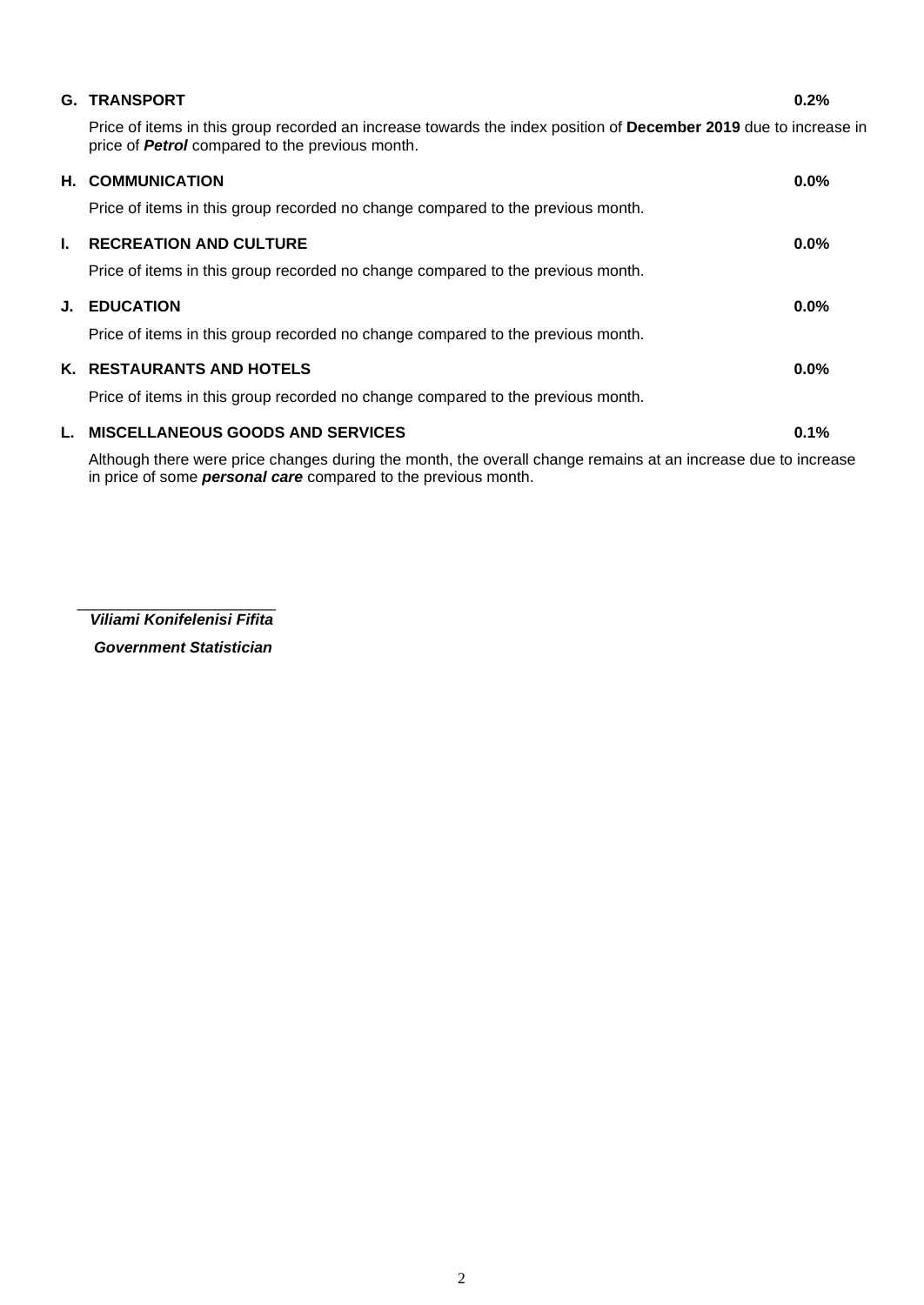|    | <b>G. TRANSPORT</b>                                                                                                                                                        | 0.2%    |
|----|----------------------------------------------------------------------------------------------------------------------------------------------------------------------------|---------|
|    | Price of items in this group recorded an increase towards the index position of December 2019 due to increase in<br>price of <b>Petrol</b> compared to the previous month. |         |
|    | <b>H. COMMUNICATION</b>                                                                                                                                                    | $0.0\%$ |
|    | Price of items in this group recorded no change compared to the previous month.                                                                                            |         |
| L. | <b>RECREATION AND CULTURE</b>                                                                                                                                              | $0.0\%$ |
|    | Price of items in this group recorded no change compared to the previous month.                                                                                            |         |
|    | <b>J. EDUCATION</b>                                                                                                                                                        | $0.0\%$ |
|    | Price of items in this group recorded no change compared to the previous month.                                                                                            |         |
|    | K. RESTAURANTS AND HOTELS                                                                                                                                                  | $0.0\%$ |
|    | Price of items in this group recorded no change compared to the previous month.                                                                                            |         |
|    | L. MISCELLANEOUS GOODS AND SERVICES                                                                                                                                        | 0.1%    |
|    | Although there were price changes during the month, the overall change remains at an increase due to increase                                                              |         |

\_\_\_\_\_\_\_\_\_\_\_\_\_\_\_\_\_\_\_\_\_\_\_  *Viliami Konifelenisi Fifita*

in price of some *personal care* compared to the previous month.

 *Government Statistician*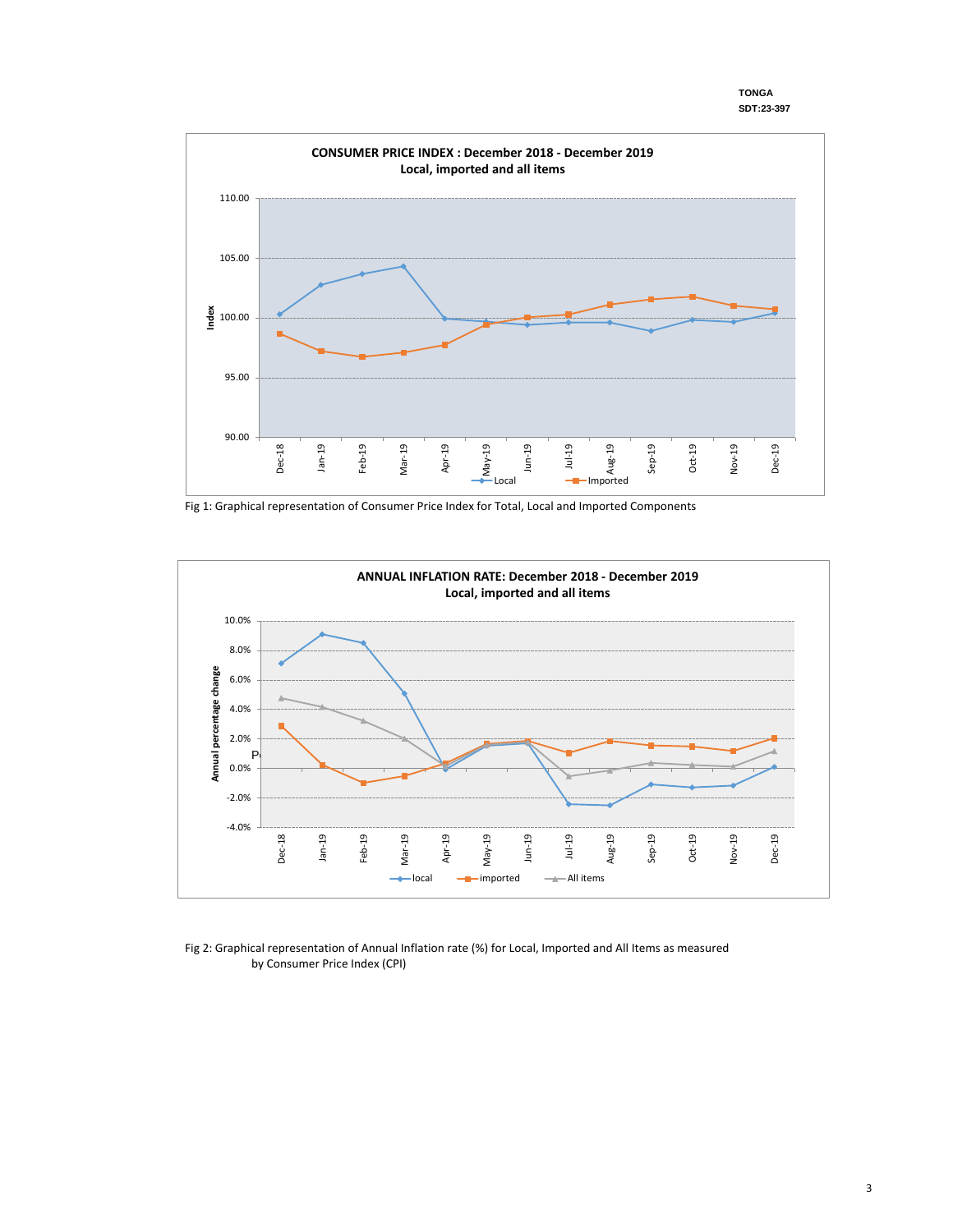**TONGA SDT:23-397**



Fig 1: Graphical representation of Consumer Price Index for Total, Local and Imported Components



Fig 2: Graphical representation of Annual Inflation rate (%) for Local, Imported and All Items as measured by Consumer Price Index (CPI)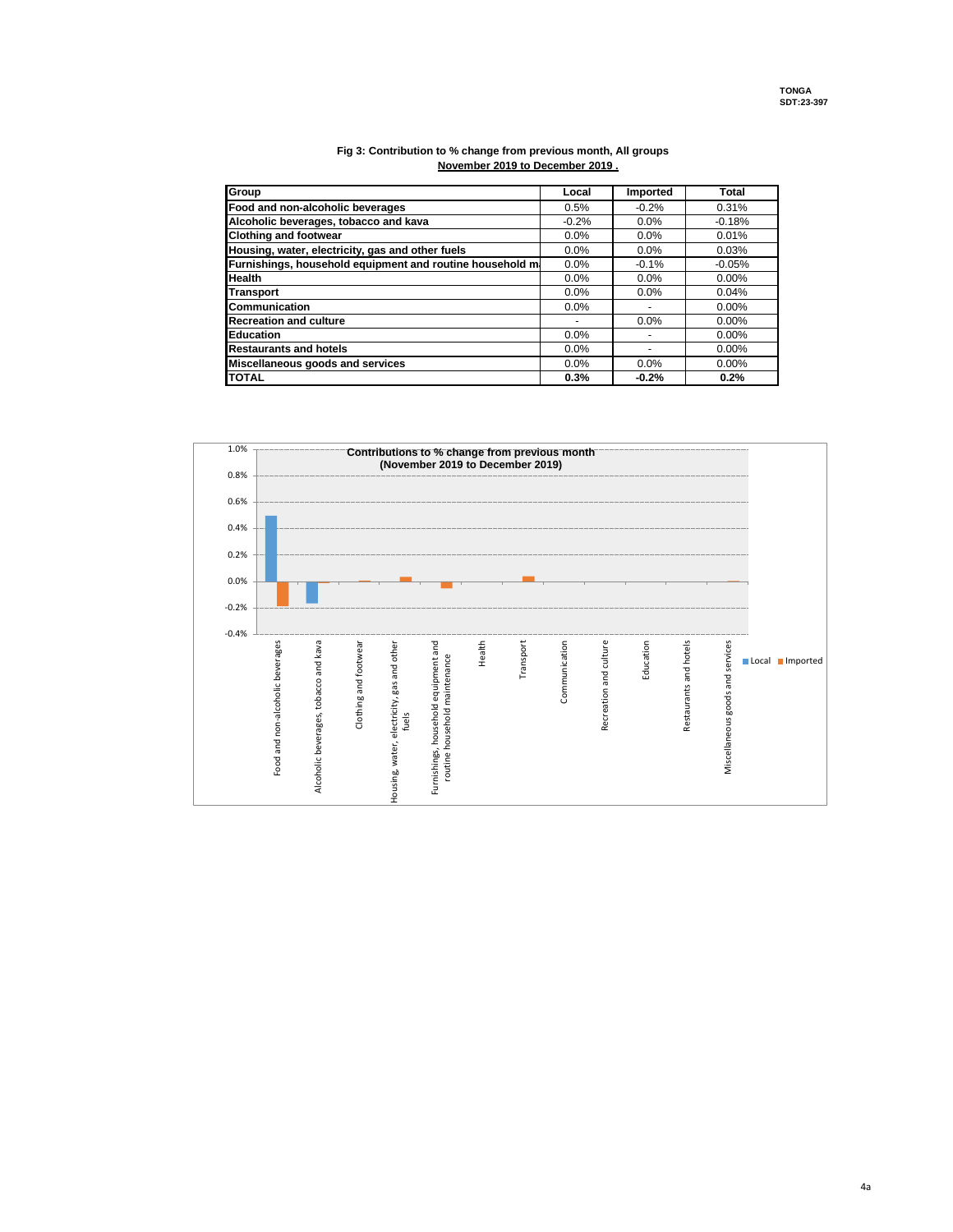| Group                                                    | Local   | Imported | Total    |
|----------------------------------------------------------|---------|----------|----------|
| Food and non-alcoholic beverages                         | 0.5%    | $-0.2%$  | 0.31%    |
| Alcoholic beverages, tobacco and kava                    | $-0.2%$ | $0.0\%$  | $-0.18%$ |
| <b>Clothing and footwear</b>                             | 0.0%    | 0.0%     | 0.01%    |
| Housing, water, electricity, gas and other fuels         | 0.0%    | $0.0\%$  | 0.03%    |
| Furnishings, household equipment and routine household m | 0.0%    | $-0.1%$  | $-0.05%$ |
| <b>Health</b>                                            | 0.0%    | 0.0%     | $0.00\%$ |
| <b>Transport</b>                                         | $0.0\%$ | $0.0\%$  | 0.04%    |
| Communication                                            | $0.0\%$ |          | $0.00\%$ |
| <b>Recreation and culture</b>                            |         | 0.0%     | $0.00\%$ |
| <b>Education</b>                                         | 0.0%    |          | $0.00\%$ |
| <b>Restaurants and hotels</b>                            | 0.0%    |          | $0.00\%$ |
| Miscellaneous goods and services                         | 0.0%    | 0.0%     | $0.00\%$ |
| <b>TOTAL</b>                                             | 0.3%    | $-0.2%$  | 0.2%     |

#### **Fig 3: Contribution to % change from previous month, All groups November 2019 to December 2019 .**

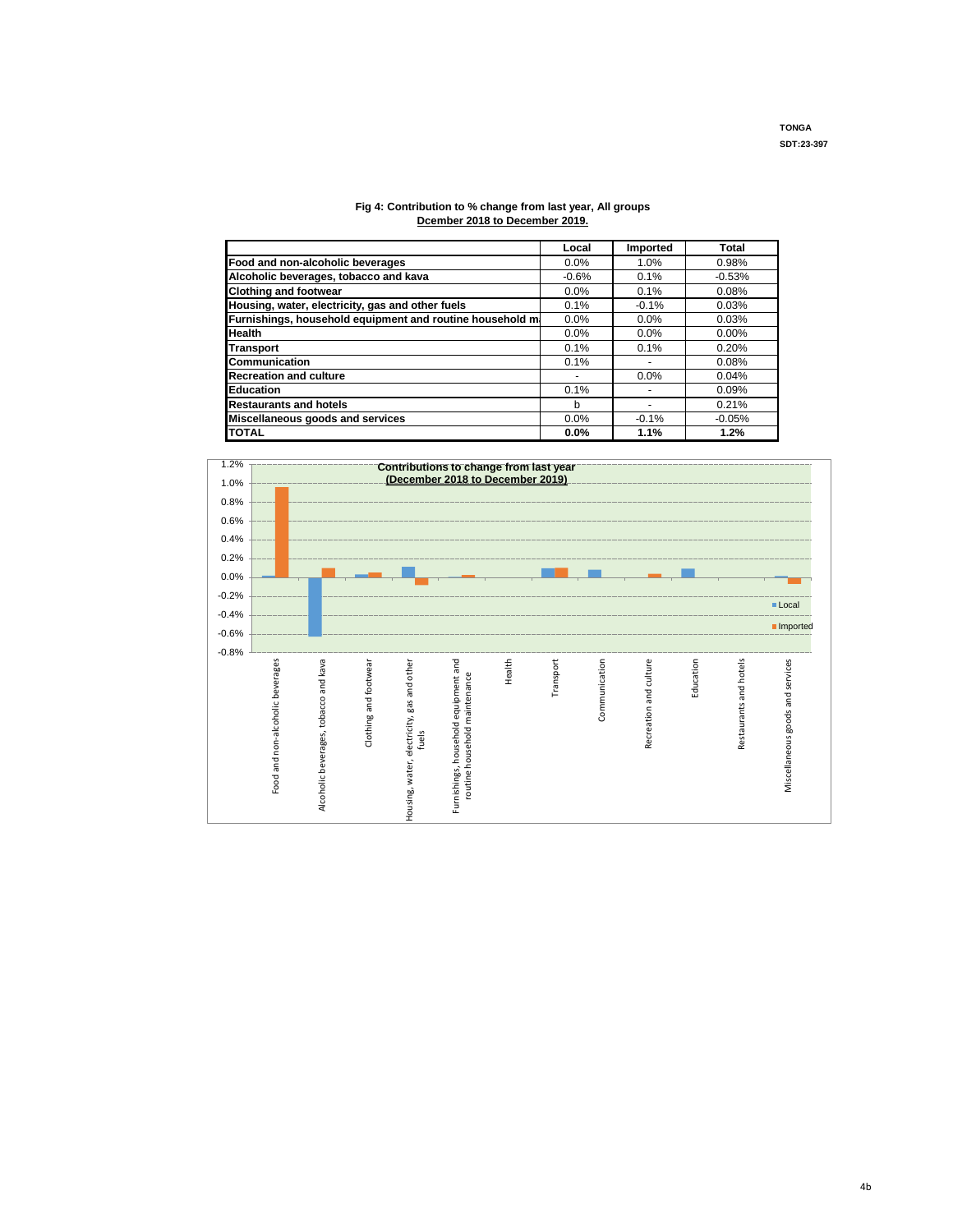#### **Fig 4: Contribution to % change from last year, All groups Dcember 2018 to December 2019.**

|                                                          | Local   | Imported | Total    |
|----------------------------------------------------------|---------|----------|----------|
| Food and non-alcoholic beverages                         | 0.0%    | 1.0%     | 0.98%    |
| Alcoholic beverages, tobacco and kava                    | $-0.6%$ | 0.1%     | $-0.53%$ |
| <b>Clothing and footwear</b>                             | 0.0%    | 0.1%     | 0.08%    |
| Housing, water, electricity, gas and other fuels         | 0.1%    | $-0.1%$  | 0.03%    |
| Furnishings, household equipment and routine household m | $0.0\%$ | $0.0\%$  | 0.03%    |
| <b>Health</b>                                            | 0.0%    | 0.0%     | $0.00\%$ |
| <b>Transport</b>                                         | 0.1%    | 0.1%     | 0.20%    |
| Communication                                            | 0.1%    |          | 0.08%    |
| <b>Recreation and culture</b>                            |         | 0.0%     | 0.04%    |
| <b>Education</b>                                         | 0.1%    |          | 0.09%    |
| <b>Restaurants and hotels</b>                            | b       |          | 0.21%    |
| Miscellaneous goods and services                         | 0.0%    | $-0.1%$  | $-0.05%$ |
| <b>ITOTAL</b>                                            | $0.0\%$ | 1.1%     | 1.2%     |

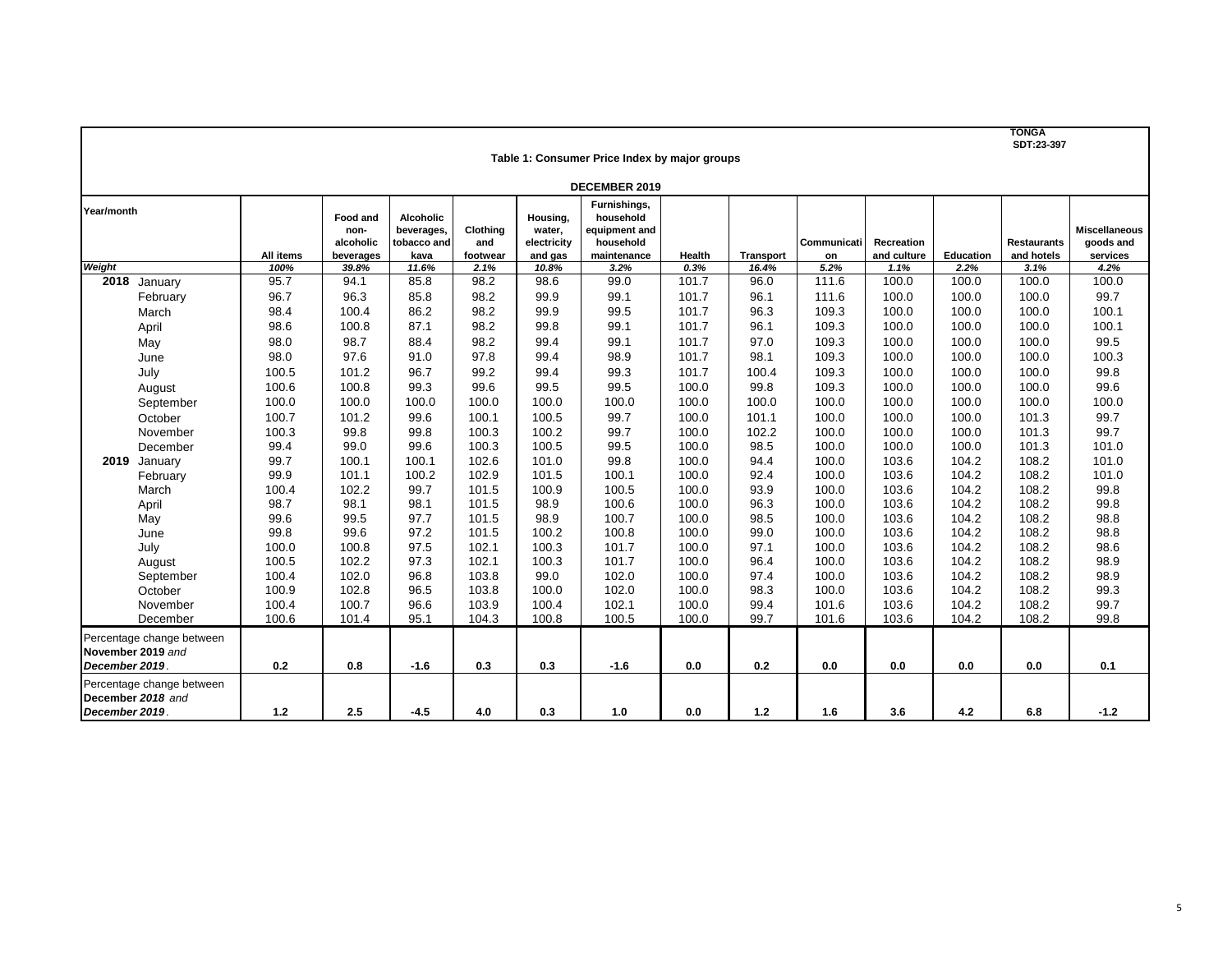**TONGA SDT:23-397**

|               | Table 1: Consumer Price Index by major groups  |                |                                            |                                                       |                             |                                              |                                                                        |        |                  |                   |                           |           |                                  |                                               |
|---------------|------------------------------------------------|----------------|--------------------------------------------|-------------------------------------------------------|-----------------------------|----------------------------------------------|------------------------------------------------------------------------|--------|------------------|-------------------|---------------------------|-----------|----------------------------------|-----------------------------------------------|
|               | <b>DECEMBER 2019</b>                           |                |                                            |                                                       |                             |                                              |                                                                        |        |                  |                   |                           |           |                                  |                                               |
| Year/month    |                                                | All items      | Food and<br>non-<br>alcoholic<br>beverages | <b>Alcoholic</b><br>beverages,<br>tobacco and<br>kava | Clothina<br>and<br>footwear | Housing,<br>water,<br>electricity<br>and gas | Furnishings,<br>household<br>equipment and<br>household<br>maintenance | Health | <b>Transport</b> | Communicati<br>on | Recreation<br>and culture | Education | <b>Restaurants</b><br>and hotels | <b>Miscellaneous</b><br>goods and<br>services |
| Weight        |                                                | 100%           | 39.8%                                      | 11.6%                                                 | 2.1%                        | 10.8%                                        | 3.2%                                                                   | 0.3%   | 16.4%            | 5.2%              | 1.1%                      | 2.2%      | 3.1%                             | 4.2%                                          |
|               | 2018 January                                   | 95.7           | 94.1                                       | 85.8                                                  | 98.2                        | 98.6                                         | 99.0                                                                   | 101.7  | 96.0             | 111.6             | 100.0                     | 100.0     | 100.0                            | 100.0                                         |
|               | February                                       | 96.7           | 96.3                                       | 85.8                                                  | 98.2                        | 99.9                                         | 99.1                                                                   | 101.7  | 96.1             | 111.6             | 100.0                     | 100.0     | 100.0                            | 99.7                                          |
|               | March                                          | 98.4           | 100.4                                      | 86.2                                                  | 98.2                        | 99.9                                         | 99.5                                                                   | 101.7  | 96.3             | 109.3             | 100.0                     | 100.0     | 100.0                            | 100.1                                         |
|               | April                                          | 98.6           | 100.8                                      | 87.1                                                  | 98.2                        | 99.8                                         | 99.1                                                                   | 101.7  | 96.1             | 109.3             | 100.0                     | 100.0     | 100.0                            | 100.1                                         |
|               | May                                            | 98.0           | 98.7                                       | 88.4                                                  | 98.2                        | 99.4                                         | 99.1                                                                   | 101.7  | 97.0             | 109.3             | 100.0                     | 100.0     | 100.0                            | 99.5                                          |
|               | June                                           | 98.0           | 97.6                                       | 91.0                                                  | 97.8                        | 99.4                                         | 98.9                                                                   | 101.7  | 98.1             | 109.3             | 100.0                     | 100.0     | 100.0                            | 100.3                                         |
|               | July                                           | 100.5          | 101.2                                      | 96.7                                                  | 99.2                        | 99.4                                         | 99.3                                                                   | 101.7  | 100.4            | 109.3             | 100.0                     | 100.0     | 100.0                            | 99.8                                          |
|               | August                                         | 100.6          | 100.8                                      | 99.3                                                  | 99.6                        | 99.5                                         | 99.5                                                                   | 100.0  | 99.8             | 109.3             | 100.0                     | 100.0     | 100.0                            | 99.6                                          |
|               | September                                      | 100.0          | 100.0                                      | 100.0                                                 | 100.0                       | 100.0                                        | 100.0                                                                  | 100.0  | 100.0            | 100.0             | 100.0                     | 100.0     | 100.0                            | 100.0                                         |
|               | October                                        | 100.7          | 101.2                                      | 99.6                                                  | 100.1                       | 100.5                                        | 99.7                                                                   | 100.0  | 101.1            | 100.0             | 100.0                     | 100.0     | 101.3                            | 99.7                                          |
|               | November                                       | 100.3          | 99.8                                       | 99.8                                                  | 100.3                       | 100.2                                        | 99.7                                                                   | 100.0  | 102.2            | 100.0             | 100.0                     | 100.0     | 101.3                            | 99.7                                          |
|               | December                                       | 99.4           | 99.0                                       | 99.6                                                  | 100.3                       | 100.5                                        | 99.5                                                                   | 100.0  | 98.5             | 100.0             | 100.0                     | 100.0     | 101.3                            | 101.0                                         |
|               | 2019 January                                   | 99.7           | 100.1                                      | 100.1                                                 | 102.6                       | 101.0                                        | 99.8                                                                   | 100.0  | 94.4             | 100.0             | 103.6                     | 104.2     | 108.2                            | 101.0                                         |
|               | February                                       | 99.9           | 101.1                                      | 100.2                                                 | 102.9                       | 101.5                                        | 100.1                                                                  | 100.0  | 92.4             | 100.0             | 103.6                     | 104.2     | 108.2                            | 101.0                                         |
|               | March                                          | 100.4          | 102.2                                      | 99.7                                                  | 101.5                       | 100.9                                        | 100.5                                                                  | 100.0  | 93.9             | 100.0             | 103.6                     | 104.2     | 108.2                            | 99.8                                          |
|               | April                                          | 98.7           | 98.1                                       | 98.1                                                  | 101.5                       | 98.9                                         | 100.6                                                                  | 100.0  | 96.3             | 100.0             | 103.6                     | 104.2     | 108.2                            | 99.8                                          |
|               | May                                            | 99.6           | 99.5                                       | 97.7                                                  | 101.5                       | 98.9                                         | 100.7                                                                  | 100.0  | 98.5             | 100.0             | 103.6                     | 104.2     | 108.2                            | 98.8                                          |
|               | June                                           | 99.8           | 99.6                                       | 97.2                                                  | 101.5                       | 100.2                                        | 100.8                                                                  | 100.0  | 99.0             | 100.0             | 103.6                     | 104.2     | 108.2                            | 98.8                                          |
|               | July                                           | 100.0          | 100.8                                      | 97.5                                                  | 102.1                       | 100.3                                        | 101.7                                                                  | 100.0  | 97.1             | 100.0             | 103.6                     | 104.2     | 108.2                            | 98.6                                          |
|               | August                                         | 100.5          | 102.2                                      | 97.3                                                  | 102.1                       | 100.3                                        | 101.7                                                                  | 100.0  | 96.4             | 100.0             | 103.6                     | 104.2     | 108.2                            | 98.9                                          |
|               | September                                      | 100.4          | 102.0                                      | 96.8                                                  | 103.8                       | 99.0                                         | 102.0                                                                  | 100.0  | 97.4             | 100.0             | 103.6                     | 104.2     | 108.2                            | 98.9                                          |
|               | October                                        | 100.9          | 102.8                                      | 96.5                                                  | 103.8                       | 100.0                                        | 102.0                                                                  | 100.0  | 98.3             | 100.0             | 103.6                     | 104.2     | 108.2                            | 99.3                                          |
|               | November<br>December                           | 100.4<br>100.6 | 100.7<br>101.4                             | 96.6<br>95.1                                          | 103.9                       | 100.4                                        | 102.1                                                                  | 100.0  | 99.4             | 101.6             | 103.6                     | 104.2     | 108.2                            | 99.7<br>99.8                                  |
|               |                                                |                |                                            |                                                       | 104.3                       | 100.8                                        | 100.5                                                                  | 100.0  | 99.7             | 101.6             | 103.6                     | 104.2     | 108.2                            |                                               |
|               | Percentage change between                      |                |                                            |                                                       |                             |                                              |                                                                        |        |                  |                   |                           |           |                                  |                                               |
|               | November 2019 and                              |                |                                            |                                                       |                             |                                              |                                                                        |        |                  |                   |                           |           |                                  |                                               |
| December 2019 |                                                | 0.2            | 0.8                                        | $-1.6$                                                | 0.3                         | 0.3                                          | $-1.6$                                                                 | 0.0    | 0.2              | 0.0               | 0.0                       | 0.0       | 0.0                              | 0.1                                           |
|               | Percentage change between<br>December 2018 and |                |                                            |                                                       |                             |                                              |                                                                        |        |                  |                   |                           |           |                                  |                                               |
| December 2019 |                                                | $1.2$          | 2.5                                        | $-4.5$                                                | 4.0                         | 0.3                                          | 1.0                                                                    | 0.0    | 1.2              | 1.6               | 3.6                       | 4.2       | 6.8                              | $-1.2$                                        |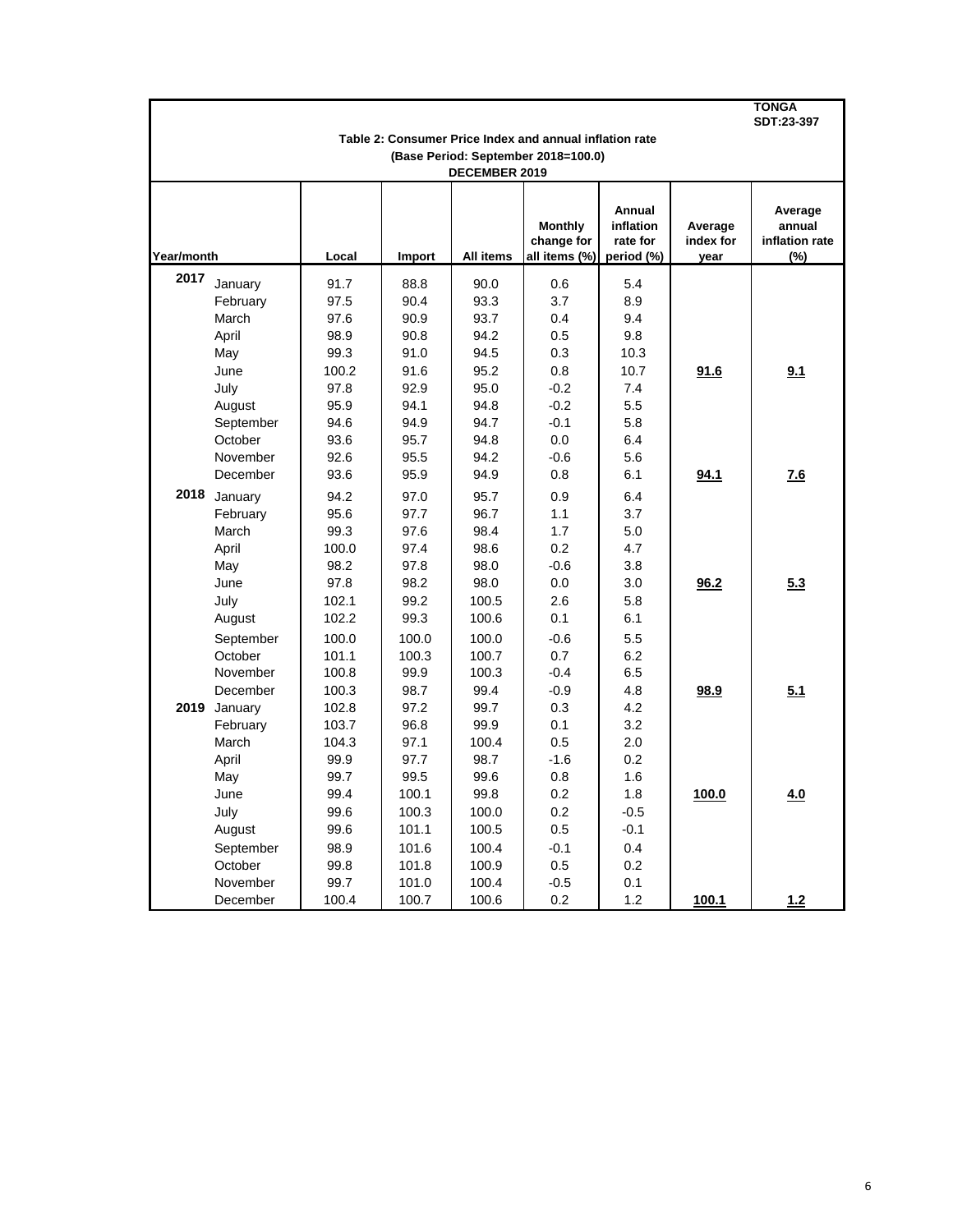|            |              |       |        |               |                                                         |                                               |                              | TONGA<br>SDT:23-397                        |
|------------|--------------|-------|--------|---------------|---------------------------------------------------------|-----------------------------------------------|------------------------------|--------------------------------------------|
|            |              |       |        |               | Table 2: Consumer Price Index and annual inflation rate |                                               |                              |                                            |
|            |              |       |        | DECEMBER 2019 | (Base Period: September 2018=100.0)                     |                                               |                              |                                            |
| Year/month |              | Local | Import | All items     | <b>Monthly</b><br>change for<br>all items (%)           | Annual<br>inflation<br>rate for<br>period (%) | Average<br>index for<br>year | Average<br>annual<br>inflation rate<br>(%) |
| 2017       | January      | 91.7  | 88.8   | 90.0          | 0.6                                                     | 5.4                                           |                              |                                            |
|            | February     | 97.5  | 90.4   | 93.3          | 3.7                                                     | 8.9                                           |                              |                                            |
|            | March        | 97.6  | 90.9   | 93.7          | 0.4                                                     | 9.4                                           |                              |                                            |
|            | April        | 98.9  | 90.8   | 94.2          | 0.5                                                     | 9.8                                           |                              |                                            |
|            | May          | 99.3  | 91.0   | 94.5          | 0.3                                                     | 10.3                                          |                              |                                            |
|            | June         | 100.2 | 91.6   | 95.2          | 0.8                                                     | 10.7                                          | 91.6                         | 9.1                                        |
|            | July         | 97.8  | 92.9   | 95.0          | $-0.2$                                                  | 7.4                                           |                              |                                            |
|            | August       | 95.9  | 94.1   | 94.8          | $-0.2$                                                  | 5.5                                           |                              |                                            |
|            | September    | 94.6  | 94.9   | 94.7          | $-0.1$                                                  | 5.8                                           |                              |                                            |
|            | October      | 93.6  | 95.7   | 94.8          | 0.0                                                     | 6.4                                           |                              |                                            |
|            | November     | 92.6  | 95.5   | 94.2          | $-0.6$                                                  | 5.6                                           |                              |                                            |
|            | December     | 93.6  | 95.9   | 94.9          | 0.8                                                     | 6.1                                           | 94.1                         | 7.6                                        |
|            | 2018 January | 94.2  | 97.0   | 95.7          | 0.9                                                     | 6.4                                           |                              |                                            |
|            | February     | 95.6  | 97.7   | 96.7          | 1.1                                                     | 3.7                                           |                              |                                            |
|            | March        | 99.3  | 97.6   | 98.4          | 1.7                                                     | 5.0                                           |                              |                                            |
|            | April        | 100.0 | 97.4   | 98.6          | 0.2                                                     | 4.7                                           |                              |                                            |
|            | May          | 98.2  | 97.8   | 98.0          | $-0.6$                                                  | 3.8                                           |                              |                                            |
|            | June         | 97.8  | 98.2   | 98.0          | 0.0                                                     | 3.0                                           | 96.2                         | 5.3                                        |
|            | July         | 102.1 | 99.2   | 100.5         | 2.6                                                     | 5.8                                           |                              |                                            |
|            | August       | 102.2 | 99.3   | 100.6         | 0.1                                                     | 6.1                                           |                              |                                            |
|            | September    | 100.0 | 100.0  | 100.0         | $-0.6$                                                  | 5.5                                           |                              |                                            |
|            | October      | 101.1 | 100.3  | 100.7         | 0.7                                                     | 6.2                                           |                              |                                            |
|            | November     | 100.8 | 99.9   | 100.3         | $-0.4$                                                  | 6.5                                           |                              |                                            |
|            | December     | 100.3 | 98.7   | 99.4          | $-0.9$                                                  | 4.8                                           | 98.9                         | 5.1                                        |
|            | 2019 January | 102.8 | 97.2   | 99.7          | 0.3                                                     | 4.2                                           |                              |                                            |
|            | February     | 103.7 | 96.8   | 99.9          | 0.1                                                     | 3.2                                           |                              |                                            |
|            | March        | 104.3 | 97.1   | 100.4         | 0.5                                                     | 2.0                                           |                              |                                            |
|            | April        | 99.9  | 97.7   | 98.7          | $-1.6$                                                  | 0.2                                           |                              |                                            |
|            | May          | 99.7  | 99.5   | 99.6          | 0.8                                                     | 1.6                                           |                              |                                            |
|            | June         | 99.4  | 100.1  | 99.8          | 0.2                                                     | 1.8                                           | 100.0                        | 4.0                                        |
|            | July         | 99.6  | 100.3  | 100.0         | 0.2                                                     | $-0.5$                                        |                              |                                            |
|            | August       | 99.6  | 101.1  | 100.5         | 0.5                                                     | $-0.1$                                        |                              |                                            |
|            | September    | 98.9  | 101.6  | 100.4         | $-0.1$                                                  | 0.4                                           |                              |                                            |
|            | October      | 99.8  | 101.8  | 100.9         | 0.5                                                     | 0.2                                           |                              |                                            |
|            | November     | 99.7  | 101.0  | 100.4         | $-0.5$                                                  | 0.1                                           |                              |                                            |
|            | December     | 100.4 | 100.7  | 100.6         | 0.2                                                     | 1.2                                           | 100.1                        | 1.2                                        |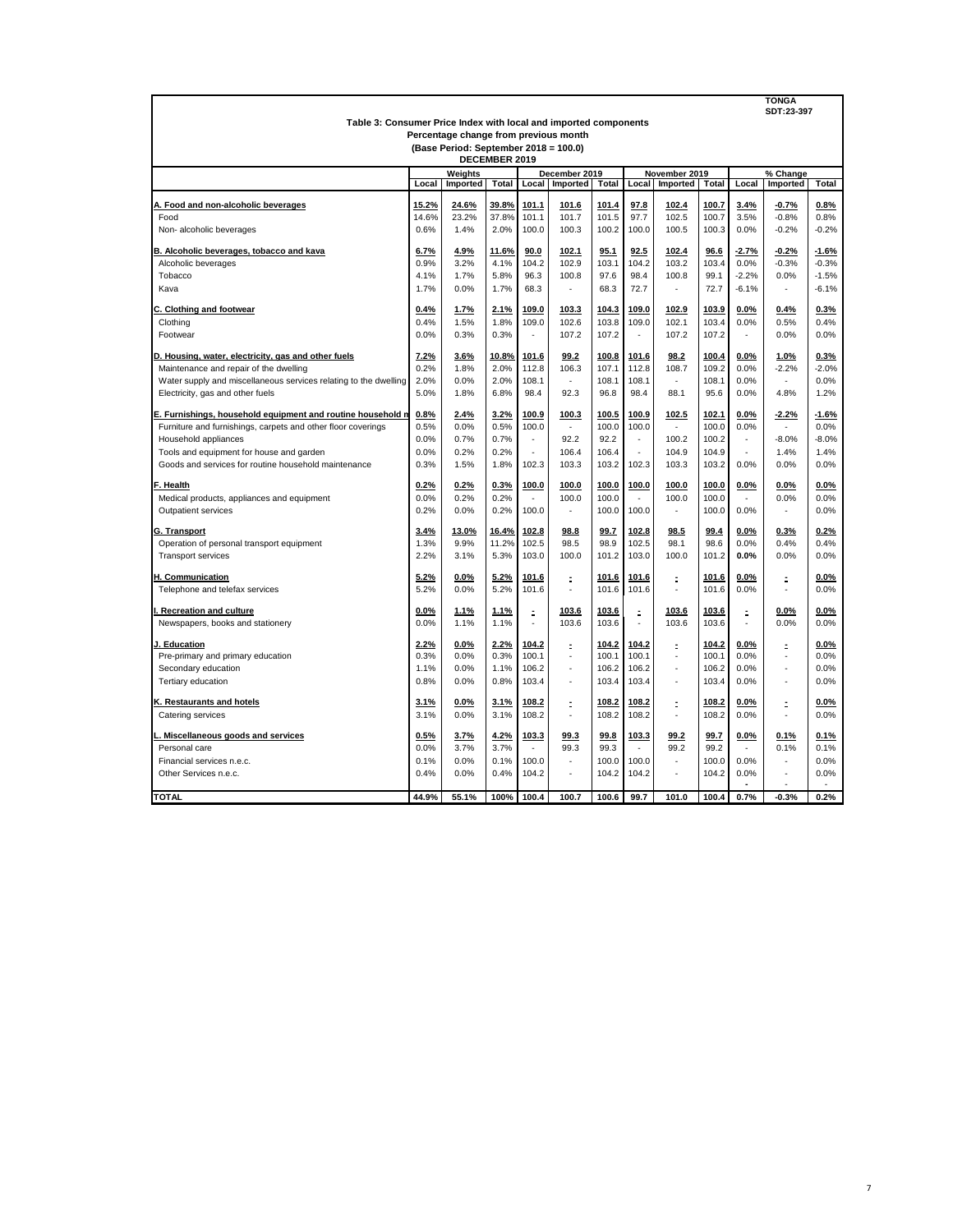| <b>TONGA</b><br>SDT:23-397                                                                                |       |          |               |        |               |              |           |               |              |         |                   |         |  |
|-----------------------------------------------------------------------------------------------------------|-------|----------|---------------|--------|---------------|--------------|-----------|---------------|--------------|---------|-------------------|---------|--|
| Table 3: Consumer Price Index with local and imported components<br>Percentage change from previous month |       |          |               |        |               |              |           |               |              |         |                   |         |  |
| (Base Period: September 2018 = 100.0)                                                                     |       |          |               |        |               |              |           |               |              |         |                   |         |  |
|                                                                                                           |       |          | DECEMBER 2019 |        |               |              |           |               |              |         |                   |         |  |
|                                                                                                           |       | Weights  |               |        | December 2019 |              |           | November 2019 |              |         | % Change          |         |  |
|                                                                                                           | Local | Imported | Total         | Local  | Imported      | <b>Total</b> | Local     | Imported      | <b>Total</b> | Local   | Imported<br>Total |         |  |
| A. Food and non-alcoholic beverages                                                                       | 15.2% | 24.6%    | 39.8%         | 101.1  | 101.6         | 101.4        | 97.8      | 102.4         | 100.7        | 3.4%    | $-0.7%$           | 0.8%    |  |
| Food                                                                                                      | 14.6% | 23.2%    | 37.8%         | 101.1  | 101.7         | 101.5        | 97.7      | 102.5         | 100.7        | 3.5%    | $-0.8%$           | 0.8%    |  |
| Non-alcoholic beverages                                                                                   | 0.6%  | 1.4%     | 2.0%          | 100.0  | 100.3         | 100.2        | 100.0     | 100.5         | 100.3        | 0.0%    | $-0.2%$           | $-0.2%$ |  |
|                                                                                                           |       |          |               |        |               |              |           |               |              |         |                   |         |  |
| B. Alcoholic beverages, tobacco and kava                                                                  | 6.7%  | 4.9%     | 11.6%         | 90.0   | 102.1         | 95.1         | 92.5      | 102.4         | 96.6         | $-2.7%$ | $-0.2%$           | $-1.6%$ |  |
| Alcoholic beverages                                                                                       | 0.9%  | 3.2%     | 4.1%          | 104.2  | 102.9         | 103.1        | 104.2     | 103.2         | 103.4        | 0.0%    | $-0.3%$           | $-0.3%$ |  |
| Tobacco                                                                                                   | 4.1%  | 1.7%     | 5.8%          | 96.3   | 100.8         | 97.6         | 98.4      | 100.8         | 99.1         | $-2.2%$ | 0.0%              | $-1.5%$ |  |
| Kava                                                                                                      | 1.7%  | 0.0%     | 1.7%          | 68.3   | ÷,            | 68.3         | 72.7      | ÷,            | 72.7         | $-6.1%$ |                   | $-6.1%$ |  |
| C. Clothing and footwear                                                                                  | 0.4%  | 1.7%     | 2.1%          | 109.0  | 103.3         | 104.3        | 109.0     | 102.9         | 103.9        | 0.0%    | 0.4%              | 0.3%    |  |
| Clothing                                                                                                  | 0.4%  | 1.5%     | 1.8%          | 109.0  | 102.6         | 103.8        | 109.0     | 102.1         | 103.4        | 0.0%    | 0.5%              | 0.4%    |  |
| Footwear                                                                                                  | 0.0%  | 0.3%     | 0.3%          | $\sim$ | 107.2         | 107.2        | ä,        | 107.2         | 107.2        | $\sim$  | 0.0%              | 0.0%    |  |
|                                                                                                           |       |          |               |        |               |              |           |               |              |         |                   |         |  |
| D. Housing, water, electricity, gas and other fuels                                                       | 7.2%  | 3.6%     | 10.8%         | 101.6  | 99.2          | 100.8        | 101.6     | 98.2          | 100.4        | 0.0%    | 1.0%              | 0.3%    |  |
| Maintenance and repair of the dwelling                                                                    | 0.2%  | 1.8%     | 2.0%          | 112.8  | 106.3         | 107.1        | 112.8     | 108.7         | 109.2        | 0.0%    | $-2.2%$           | $-2.0%$ |  |
| Water supply and miscellaneous services relating to the dwelling                                          | 2.0%  | 0.0%     | 2.0%          | 108.1  |               | 108.1        | 108.1     | ä,            | 108.1        | 0.0%    |                   | 0.0%    |  |
| Electricity, gas and other fuels                                                                          | 5.0%  | 1.8%     | 6.8%          | 98.4   | 92.3          | 96.8         | 98.4      | 88.1          | 95.6         | 0.0%    | 4.8%              | 1.2%    |  |
| E. Furnishings, household equipment and routine household n                                               | 0.8%  | 2.4%     | 3.2%          | 100.9  | 100.3         | 100.5        | 100.9     | 102.5         | 102.1        | 0.0%    | $-2.2%$           | $-1.6%$ |  |
| Furniture and furnishings, carpets and other floor coverings                                              | 0.5%  | 0.0%     | 0.5%          | 100.0  | ×,            | 100.0        | 100.0     | $\sim$        | 100.0        | 0.0%    | $\sim$            | 0.0%    |  |
| Household appliances                                                                                      | 0.0%  | 0.7%     | 0.7%          | $\sim$ | 92.2          | 92.2         | ÷.        | 100.2         | 100.2        | $\sim$  | $-8.0%$           | $-8.0%$ |  |
| Tools and equipment for house and garden                                                                  | 0.0%  | 0.2%     | 0.2%          |        | 106.4         | 106.4        |           | 104.9         | 104.9        |         | 1.4%              | 1.4%    |  |
| Goods and services for routine household maintenance                                                      | 0.3%  | 1.5%     | 1.8%          | 102.3  | 103.3         | 103.2        | 102.3     | 103.3         | 103.2        | 0.0%    | 0.0%              | 0.0%    |  |
| F. Health                                                                                                 | 0.2%  | 0.2%     | 0.3%          | 100.0  | 100.0         | 100.0        | 100.0     | 100.0         | 100.0        | 0.0%    | 0.0%              | $0.0\%$ |  |
| Medical products, appliances and equipment                                                                | 0.0%  | 0.2%     | 0.2%          |        | 100.0         | 100.0        |           | 100.0         | 100.0        |         | 0.0%              | 0.0%    |  |
| Outpatient services                                                                                       | 0.2%  | 0.0%     | 0.2%          | 100.0  | ×,            | 100.0        | 100.0     | ×,            | 100.0        | 0.0%    | $\sim$            | 0.0%    |  |
|                                                                                                           |       | 13.0%    |               | 102.8  |               |              |           |               |              |         |                   |         |  |
| G. Transport                                                                                              | 3.4%  |          | 16.4%         |        | 98.8<br>98.5  | 99.7<br>98.9 | 102.8     | 98.5<br>98.1  | 99.4<br>98.6 | $0.0\%$ | 0.3%<br>0.4%      | 0.2%    |  |
| Operation of personal transport equipment                                                                 | 1.3%  | 9.9%     | 11.2%         | 102.5  |               |              | 102.5     |               |              | 0.0%    |                   | 0.4%    |  |
| <b>Transport services</b>                                                                                 | 2.2%  | 3.1%     | 5.3%          | 103.0  | 100.0         | 101.2        | 103.0     | 100.0         | 101.2        | 0.0%    | 0.0%              | 0.0%    |  |
| H. Communication                                                                                          | 5.2%  | 0.0%     | 5.2%          | 101.6  | Ė,            | 101.6        | 101.6     | Ė.            | 101.6        | 0.0%    | Ė.                | 0.0%    |  |
| Telephone and telefax services                                                                            | 5.2%  | 0.0%     | 5.2%          | 101.6  | ä,            | 101.6        | 101.6     | ÷,            | 101.6        | 0.0%    |                   | 0.0%    |  |
| I. Recreation and culture                                                                                 | 0.0%  | 1.1%     | 1.1%          |        | 103.6         | 103.6        |           | 103.6         | 103.6        |         | $0.0\%$           | $0.0\%$ |  |
| Newspapers, books and stationery                                                                          | 0.0%  | 1.1%     | 1.1%          | Ė,     | 103.6         | 103.6        | $\bar{z}$ | 103.6         | 103.6        | Ė,      | 0.0%              | 0.0%    |  |
|                                                                                                           |       |          |               |        |               |              |           |               |              |         |                   |         |  |
| J. Education                                                                                              | 2.2%  | $0.0\%$  | 2.2%          | 104.2  | Ė             | 104.2        | 104.2     | E             | 104.2        | 0.0%    | Ė                 | $0.0\%$ |  |
| Pre-primary and primary education                                                                         | 0.3%  | 0.0%     | 0.3%          | 100.1  | ä,            | 100.1        | 100.1     | ÷,            | 100.1        | 0.0%    |                   | 0.0%    |  |
| Secondary education                                                                                       | 1.1%  | 0.0%     | 1.1%          | 106.2  | t.            | 106.2        | 106.2     | L.            | 106.2        | 0.0%    |                   | 0.0%    |  |
| Tertiary education                                                                                        | 0.8%  | 0.0%     | 0.8%          | 103.4  | ×,            | 103.4        | 103.4     | ٠             | 103.4        | 0.0%    | ٠                 | 0.0%    |  |
| K. Restaurants and hotels                                                                                 | 3.1%  | 0.0%     | 3.1%          | 108.2  | Ì,            | 108.2        | 108.2     | Ξ             | 108.2        | 0.0%    | Ì,                | 0.0%    |  |
| Catering services                                                                                         | 3.1%  | 0.0%     | 3.1%          | 108.2  | ٠             | 108.2        | 108.2     | ٠             | 108.2        | 0.0%    | ٠                 | 0.0%    |  |
|                                                                                                           | 0.5%  | 3.7%     |               | 103.3  | 99.3          | 99.8         | 103.3     |               | 99.7         | 0.0%    |                   | 0.1%    |  |
| L. Miscellaneous goods and services<br>Personal care                                                      | 0.0%  | 3.7%     | 4.2%<br>3.7%  | $\sim$ | 99.3          | 99.3         | $\sim$    | 99.2<br>99.2  | 99.2         | $\sim$  | 0.1%<br>0.1%      | 0.1%    |  |
| Financial services n.e.c.                                                                                 | 0.1%  | 0.0%     | 0.1%          | 100.0  |               | 100.0        | 100.0     | ä,            | 100.0        | 0.0%    |                   | 0.0%    |  |
| Other Services n.e.c.                                                                                     | 0.4%  | 0.0%     | 0.4%          | 104.2  | J.            | 104.2        | 104.2     | ä,            | 104.2        | 0.0%    |                   | 0.0%    |  |
|                                                                                                           |       |          |               |        |               |              |           |               |              |         |                   |         |  |
| <b>TOTAL</b>                                                                                              | 44.9% | 55.1%    | 100%          | 100.4  | 100.7         | 100.6        | 99.7      | 101.0         | 100.4        | 0.7%    | $-0.3%$           | 0.2%    |  |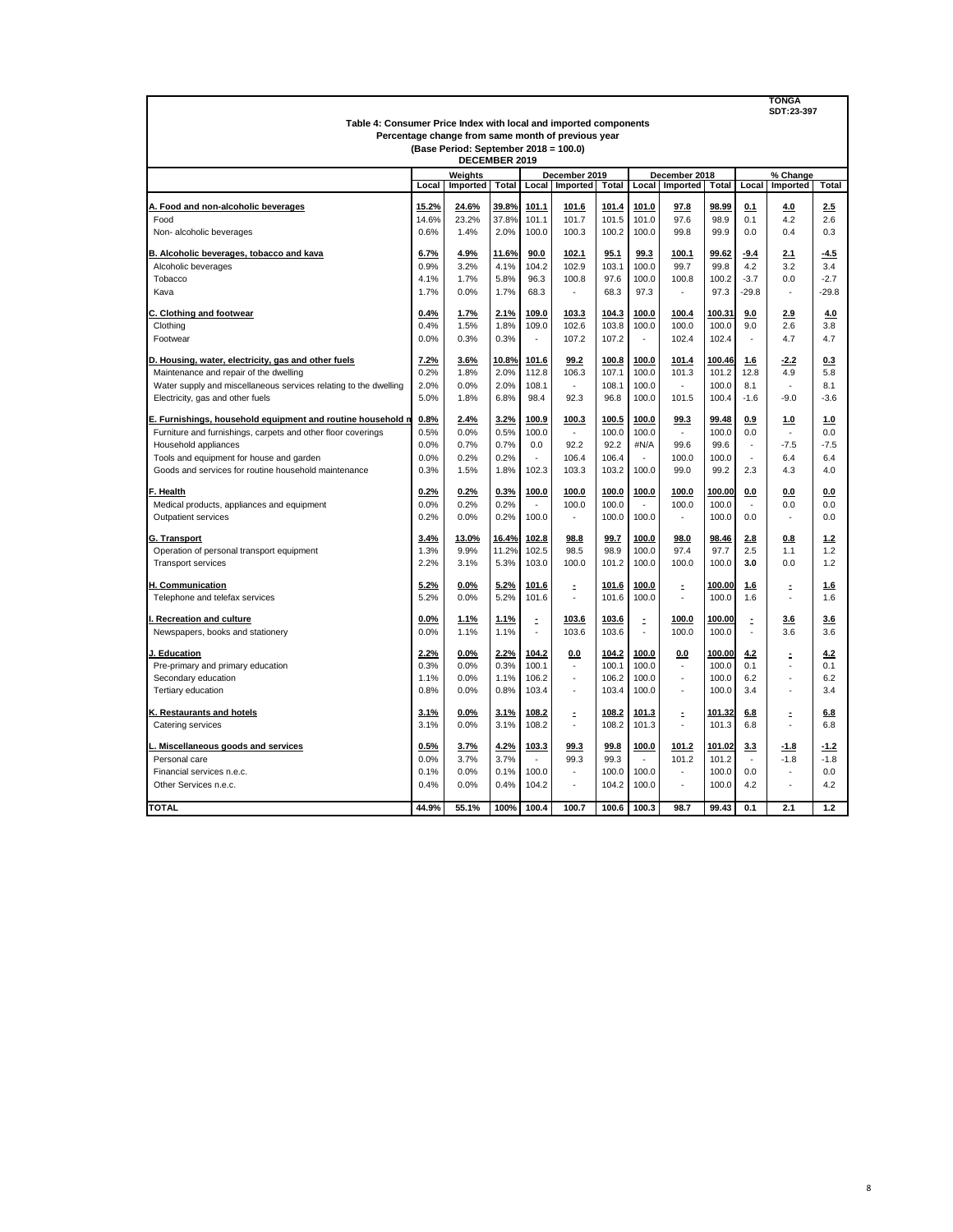|                                                                                             | <b>TONGA</b><br>SDT:23-397 |                 |                |                |                |                |                |                          |                 |                            |                               |            |
|---------------------------------------------------------------------------------------------|----------------------------|-----------------|----------------|----------------|----------------|----------------|----------------|--------------------------|-----------------|----------------------------|-------------------------------|------------|
| Table 4: Consumer Price Index with local and imported components                            |                            |                 |                |                |                |                |                |                          |                 |                            |                               |            |
| Percentage change from same month of previous year<br>(Base Period: September 2018 = 100.0) |                            |                 |                |                |                |                |                |                          |                 |                            |                               |            |
|                                                                                             |                            | DECEMBER 2019   |                |                |                |                |                |                          |                 |                            |                               |            |
|                                                                                             |                            | Weights         |                |                | December 2019  |                |                | December 2018            |                 |                            | % Change                      |            |
|                                                                                             | Local                      | Imported        | <b>Total</b>   | Local          | Imported       | Total          | Local          | Imported                 | Total           | Local<br>Imported<br>Total |                               |            |
|                                                                                             |                            |                 |                |                |                |                |                |                          |                 |                            |                               |            |
| A. Food and non-alcoholic beverages<br>Food                                                 | 15.2%<br>14.6%             | 24.6%<br>23.2%  | 39.8%<br>37.8% | 101.1<br>101.1 | 101.6<br>101.7 | 101.4<br>101.5 | 101.0<br>101.0 | 97.8<br>97.6             | 98.99<br>98.9   | 0.1<br>0.1                 | 4.0<br>4.2                    | 2.5<br>2.6 |
|                                                                                             | 0.6%                       | 1.4%            | 2.0%           | 100.0          | 100.3          | 100.2          | 100.0          | 99.8                     | 99.9            | 0.0                        | 0.4                           | 0.3        |
| Non-alcoholic beverages                                                                     |                            |                 |                |                |                |                |                |                          |                 |                            |                               |            |
| B. Alcoholic beverages, tobacco and kava                                                    | 6.7%                       | 4.9%            | 11.6%          | 90.0           | 102.1          | 95.1           | 99.3           | 100.1                    | 99.62           | $-9.4$                     | 2.1                           | $-4.5$     |
| Alcoholic beverages                                                                         | 0.9%                       | 3.2%            | 4.1%           | 104.2          | 102.9          | 103.1          | 100.0          | 99.7                     | 99.8            | 4.2                        | 3.2                           | 3.4        |
| Tobacco                                                                                     | 4.1%                       | 1.7%            | 5.8%           | 96.3           | 100.8          | 97.6           | 100.0          | 100.8                    | 100.2           | $-3.7$                     | 0.0                           | $-2.7$     |
| Kava                                                                                        | 1.7%                       | 0.0%            | 1.7%           | 68.3           | ÷,             | 68.3           | 97.3           | $\overline{\phantom{a}}$ | 97.3            | $-29.8$                    | ä,                            | $-29.8$    |
| C. Clothing and footwear                                                                    | 0.4%                       | 1.7%            | 2.1%           | 109.0          | 103.3          | 104.3          | 100.0          | 100.4                    | 100.31          | 9.0                        | 2.9                           | 4.0        |
| Clothing                                                                                    | 0.4%                       | 1.5%            | 1.8%           | 109.0          | 102.6          | 103.8          | 100.0          | 100.0                    | 100.0           | 9.0                        | 2.6                           | 3.8        |
| Footwear                                                                                    | 0.0%                       | 0.3%            | 0.3%           | ä,             | 107.2          | 107.2          | ä,             | 102.4                    | 102.4           | ä,                         | 4.7                           | 4.7        |
|                                                                                             |                            |                 |                |                |                |                |                |                          |                 |                            |                               |            |
| D. Housing, water, electricity, gas and other fuels                                         | 7.2%<br>0.2%               | 3.6%            | 10.8%<br>2.0%  | 101.6<br>112.8 | 99.2<br>106.3  | 100.8<br>107.1 | 100.0<br>100.0 | 101.4<br>101.3           | 100.46          | 1.6<br>12.8                | $-2.2$<br>4.9                 | 0.3<br>5.8 |
| Maintenance and repair of the dwelling                                                      |                            | 1.8%            |                |                |                |                |                |                          | 101.2           |                            |                               |            |
| Water supply and miscellaneous services relating to the dwelling                            | 2.0%                       | 0.0%            | 2.0%           | 108.1          |                | 108.1          | 100.0          |                          | 100.0           | 8.1                        |                               | 8.1        |
| Electricity, gas and other fuels                                                            | 5.0%                       | 1.8%            | 6.8%           | 98.4           | 92.3           | 96.8           | 100.0          | 101.5                    | 100.4           | $-1.6$                     | $-9.0$                        | $-3.6$     |
| E. Furnishings, household equipment and routine household n                                 | 0.8%                       | 2.4%            | 3.2%           | 100.9          | 100.3          | 100.5          | 100.0          | 99.3                     | 99.48           | 0.9                        | 1.0                           | 1.0        |
| Furniture and furnishings, carpets and other floor coverings                                | 0.5%                       | 0.0%            | 0.5%           | 100.0          |                | 100.0          | 100.0          | ÷.                       | 100.0           | 0.0                        | ÷.                            | 0.0        |
| Household appliances                                                                        | 0.0%                       | 0.7%            | 0.7%           | 0.0            | 92.2           | 92.2           | #N/A           | 99.6                     | 99.6            | ä,                         | $-7.5$                        | $-7.5$     |
| Tools and equipment for house and garden                                                    | 0.0%                       | 0.2%            | 0.2%           |                | 106.4          | 106.4          |                | 100.0                    | 100.0           |                            | 6.4                           | 6.4        |
| Goods and services for routine household maintenance                                        | 0.3%                       | 1.5%            | 1.8%           | 102.3          | 103.3          | 103.2          | 100.0          | 99.0                     | 99.2            | 2.3                        | 4.3                           | 4.0        |
| F. Health                                                                                   | 0.2%                       | 0.2%            | 0.3%           | 100.0          | 100.0          | 100.0          | 100.0          | 100.0                    | 100.00          | 0.0                        | 0.0                           | 0.0        |
| Medical products, appliances and equipment                                                  | 0.0%                       | 0.2%            | 0.2%           |                | 100.0          | 100.0          | ÷.             | 100.0                    | 100.0           |                            | 0.0                           | 0.0        |
| <b>Outpatient services</b>                                                                  | 0.2%                       | 0.0%            | 0.2%           | 100.0          | $\sim$         | 100.0          | 100.0          | $\sim$                   | 100.0           | 0.0                        | $\overline{\phantom{a}}$      | 0.0        |
| G. Transport                                                                                | 3.4%                       | 13.0%           | 16.4%          | 102.8          | 98.8           | 99.7           | 100.0          | 98.0                     | 98.46           | 2.8                        | 0.8                           | 1.2        |
| Operation of personal transport equipment                                                   | 1.3%                       | 9.9%            | 11.2%          | 102.5          | 98.5           | 98.9           | 100.0          | 97.4                     | 97.7            | 2.5                        | 1.1                           | 1.2        |
| <b>Transport services</b>                                                                   | 2.2%                       | 3.1%            | 5.3%           | 103.0          | 100.0          | 101.2          | 100.0          | 100.0                    | 100.0           | 3.0                        | 0.0                           | 1.2        |
|                                                                                             |                            |                 |                |                |                |                |                |                          |                 |                            |                               |            |
| H. Communication                                                                            | 5.2%                       | 0.0%            | 5.2%           | 101.6          | Ξ              | 101.6          | 100.0          | ÷,                       | 100.00          | 1.6                        | Ξ                             | 1.6        |
| Telephone and telefax services                                                              | 5.2%                       | 0.0%            | 5.2%           | 101.6          | ä,             | 101.6          | 100.0          | ÷,                       | 100.0           | 1.6                        | ÷,                            | 1.6        |
| Recreation and culture                                                                      | 0.0%                       | 1.1%            | 1.1%           | ÷,             | 103.6          | 103.6          | ÷,             | 100.0                    | 100.00          | $\tilde{\mathbf{z}}$       | 3.6                           | 3.6        |
| Newspapers, books and stationery                                                            | 0.0%                       | 1.1%            | 1.1%           |                | 103.6          | 103.6          |                | 100.0                    | 100.0           |                            | 3.6                           | 3.6        |
| J. Education                                                                                | 2.2%                       | $0.0\%$         | 2.2%           | 104.2          | 0.0            | 104.2          | 100.0          | 0.0                      | 100.00          | 4.2                        | Ξ                             | 4.2        |
| Pre-primary and primary education                                                           | 0.3%                       | 0.0%            | 0.3%           | 100.1          | ÷,             | 100.1          | 100.0          | ÷,                       | 100.0           | 0.1                        |                               | 0.1        |
| Secondary education                                                                         | 1.1%                       | 0.0%            | 1.1%           | 106.2          | L.             | 106.2          | 100.0          | ÷,                       | 100.0           | 6.2                        | $\overline{\phantom{a}}$      | 6.2        |
| Tertiary education                                                                          | 0.8%                       | 0.0%            | 0.8%           | 103.4          | ÷.             | 103.4          | 100.0          | ä,                       | 100.0           | 3.4                        | ٠                             | 3.4        |
|                                                                                             |                            |                 |                |                |                |                |                |                          |                 |                            |                               |            |
| K. Restaurants and hotels<br>Catering services                                              | 3.1%<br>3.1%               | $0.0\%$<br>0.0% | 3.1%<br>3.1%   | 108.2<br>108.2 | Ξ<br>÷.        | 108.2<br>108.2 | 101.3<br>101.3 | Ξ<br>$\sim$              | 101.32<br>101.3 | 6.8<br>6.8                 | Ξ<br>$\overline{\phantom{a}}$ | 6.8<br>6.8 |
|                                                                                             |                            |                 |                |                |                |                |                |                          |                 |                            |                               |            |
| Miscellaneous goods and services                                                            | 0.5%                       | 3.7%            | 4.2%           | 103.3          | 99.3           | 99.8           | 100.0          | 101.2                    | 101.02          | 3.3                        | $-1.8$                        | $-1.2$     |
| Personal care                                                                               | 0.0%                       | 3.7%            | 3.7%           |                | 99.3           | 99.3           | ÷              | 101.2                    | 101.2           | ٠                          | $-1.8$                        | $-1.8$     |
| Financial services n.e.c.                                                                   | 0.1%                       | 0.0%            | 0.1%           | 100.0          | ä,             | 100.0          | 100.0          | $\tilde{\phantom{a}}$    | 100.0           | 0.0                        | $\tilde{\phantom{a}}$         | 0.0        |
| Other Services n.e.c.                                                                       | 0.4%                       | 0.0%            | 0.4%           | 104.2          |                | 104.2          | 100.0          | ł,                       | 100.0           | 4.2                        |                               | 4.2        |
| <b>TOTAL</b>                                                                                | 44.9%                      | 55.1%           | 100%           | 100.4          | 100.7          | 100.6          | 100.3          | 98.7                     | 99.43           | 0.1                        | 2.1                           | 1.2        |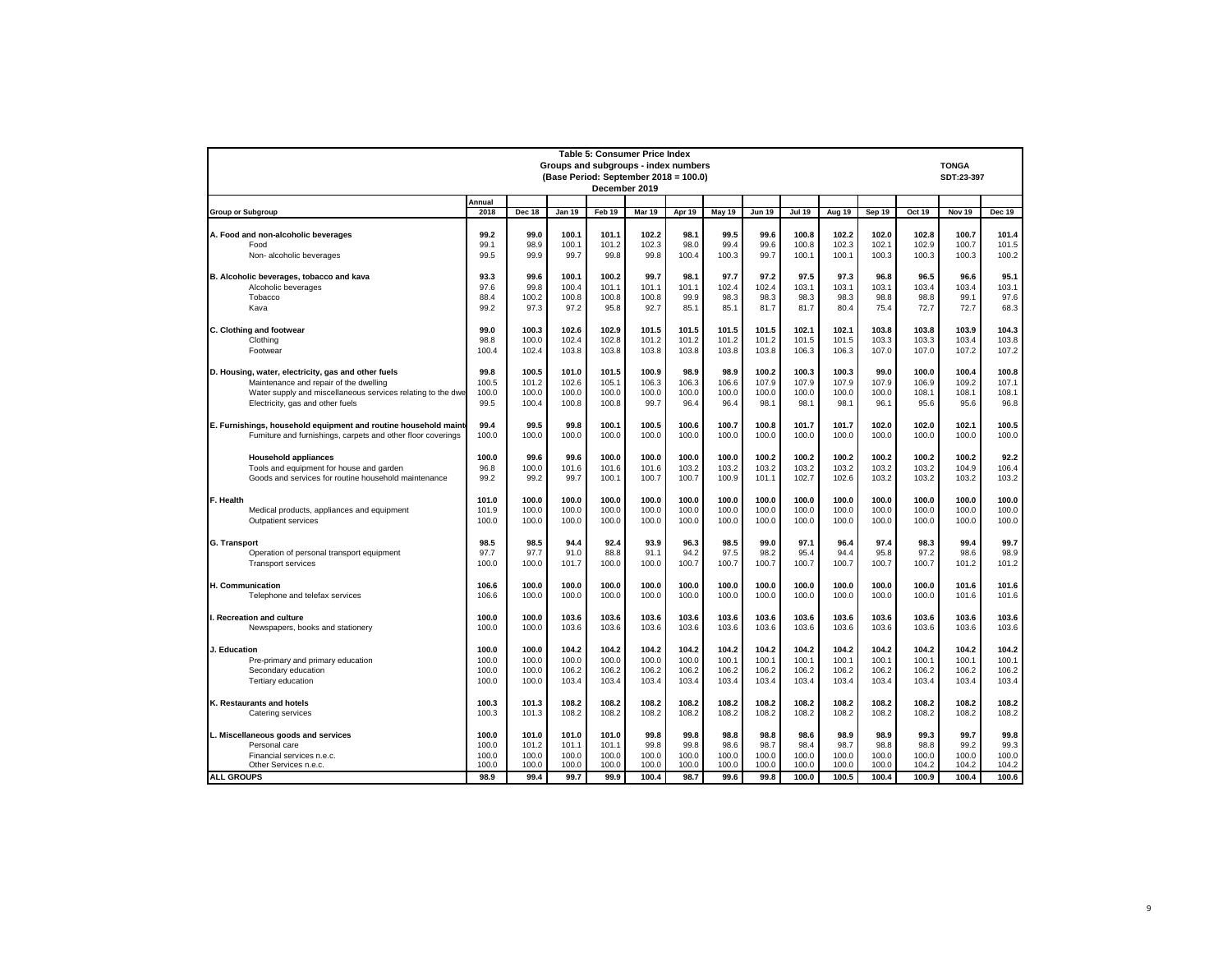| <b>Table 5: Consumer Price Index</b>                                                                        |                |                |                |                |                |                |                |                |                |                |                |                |                |                |
|-------------------------------------------------------------------------------------------------------------|----------------|----------------|----------------|----------------|----------------|----------------|----------------|----------------|----------------|----------------|----------------|----------------|----------------|----------------|
| Groups and subgroups - index numbers<br><b>TONGA</b><br>(Base Period: September 2018 = 100.0)<br>SDT:23-397 |                |                |                |                |                |                |                |                |                |                |                |                |                |                |
|                                                                                                             |                |                |                | December 2019  |                |                |                |                |                |                |                |                |                |                |
|                                                                                                             | Annual         |                |                |                |                |                |                |                |                |                |                |                |                |                |
| <b>Group or Subgroup</b>                                                                                    | 2018           | <b>Dec 18</b>  | <b>Jan 19</b>  | Feb 19         | Mar 19         | Apr 19         | May 19         | <b>Jun 19</b>  | <b>Jul 19</b>  | Aug 19         | Sep 19         | <b>Oct 19</b>  | <b>Nov 19</b>  | <b>Dec 19</b>  |
| A. Food and non-alcoholic beverages                                                                         | 99.2           | 99.0           | 100.1          | 101.1          | 102.2          | 98.1           | 99.5           | 99.6           | 100.8          | 102.2          | 102.0          | 102.8          | 100.7          | 101.4          |
| Food                                                                                                        | 99.1           | 98.9           | 100.1          | 101.2          | 102.3          | 98.0           | 99.4           | 99.6           | 100.8          | 102.3          | 102.1          | 102.9          | 100.7          | 101.5          |
| Non-alcoholic beverages                                                                                     | 99.5           | 99.9           | 99.7           | 99.8           | 99.8           | 100.4          | 100.3          | 99.7           | 100.1          | 100.1          | 100.3          | 100.3          | 100.3          | 100.2          |
| B. Alcoholic beverages, tobacco and kava                                                                    | 93.3           | 99.6           | 100.1          | 100.2          | 99.7           | 98.1           | 97.7           | 97.2           | 97.5           | 97.3           | 96.8           | 96.5           | 96.6           | 95.1           |
| Alcoholic beverages                                                                                         | 97.6           | 99.8           | 100.4          | 101.1          | 101.1          | 101.1          | 102.4          | 102.4          | 103.1          | 103.1          | 103.1          | 103.4          | 103.4          | 103.1          |
| Tobacco                                                                                                     | 88.4           | 100.2          | 100.8          | 100.8          | 100.8          | 99.9           | 98.3           | 98.3           | 98.3           | 98.3           | 98.8           | 98.8           | 99.1           | 97.6           |
| Kava                                                                                                        | 99.2           | 97.3           | 97.2           | 95.8           | 92.7           | 85.1           | 85.1           | 81.7           | 81.7           | 80.4           | 75.4           | 72.7           | 72.7           | 68.3           |
| C. Clothing and footwear                                                                                    | 99.0           | 100.3          | 102.6          | 102.9          | 101.5          | 101.5          | 101.5          | 101.5          | 102.1          | 102.1          | 103.8          | 103.8          | 103.9          | 104.3          |
| Clothing                                                                                                    | 98.8           | 100.0          | 102.4          | 102.8          | 101.2          | 101.2          | 101.2          | 101.2          | 101.5          | 101.5          | 103.3          | 103.3          | 103.4          | 103.8          |
| Footwear                                                                                                    | 100.4          | 102.4          | 103.8          | 103.8          | 103.8          | 103.8          | 103.8          | 103.8          | 106.3          | 106.3          | 107.0          | 107.0          | 107.2          | 107.2          |
| D. Housing, water, electricity, gas and other fuels                                                         | 99.8           | 100.5          | 101.0          | 101.5          | 100.9          | 98.9           | 98.9           | 100.2          | 100.3          | 100.3          | 99.0           | 100.0          | 100.4          | 100.8          |
| Maintenance and repair of the dwelling                                                                      | 100.5          | 101.2          | 102.6          | 105.1          | 106.3          | 106.3          | 106.6          | 107.9          | 107.9          | 107.9          | 107.9          | 106.9          | 109.2          | 107.1          |
| Water supply and miscellaneous services relating to the dwe                                                 | 100.0          | 100.0          | 100.0          | 100.0          | 100.0          | 100.0          | 100.0          | 100.0          | 100.0          | 100.0          | 100.0          | 108.1          | 108.1          | 108.1          |
| Electricity, gas and other fuels                                                                            | 99.5           | 100.4          | 100.8          | 100.8          | 99.7           | 96.4           | 96.4           | 98.1           | 98.1           | 98.1           | 96.1           | 95.6           | 95.6           | 96.8           |
| E. Furnishings, household equipment and routine household mainte                                            | 99.4           | 99.5           | 99.8           | 100.1          | 100.5          | 100.6          | 100.7          | 100.8          | 101.7          | 101.7          | 102.0          | 102.0          | 102.1          | 100.5          |
| Furniture and furnishings, carpets and other floor coverings                                                | 100.0          | 100.0          | 100.0          | 100.0          | 100.0          | 100.0          | 100.0          | 100.0          | 100.0          | 100.0          | 100.0          | 100.0          | 100.0          | 100.0          |
| <b>Household appliances</b>                                                                                 | 100.0          | 99.6           | 99.6           | 100.0          | 100.0          | 100.0          | 100.0          | 100.2          | 100.2          | 100.2          | 100.2          | 100.2          | 100.2          | 92.2           |
| Tools and equipment for house and garden                                                                    | 96.8           | 100.0          | 101.6          | 101.6          | 101.6          | 103.2          | 103.2          | 103.2          | 103.2          | 103.2          | 103.2          | 103.2          | 104.9          | 106.4          |
| Goods and services for routine household maintenance                                                        | 99.2           | 99.2           | 99.7           | 100.1          | 100.7          | 100.7          | 100.9          | 101.1          | 102.7          | 102.6          | 103.2          | 103.2          | 103.2          | 103.2          |
| F. Health                                                                                                   | 101.0          | 100.0          | 100.0          | 100.0          | 100.0          | 100.0          | 100.0          | 100.0          | 100.0          | 100.0          | 100.0          | 100.0          | 100.0          | 100.0          |
| Medical products, appliances and equipment                                                                  | 101.9          | 100.0          | 100.0          | 100.0          | 100.0          | 100.0          | 100.0          | 100.0          | 100.0          | 100.0          | 100.0          | 100.0          | 100.0          | 100.0          |
| Outpatient services                                                                                         | 100.0          | 100.0          | 100.0          | 100.0          | 100.0          | 100.0          | 100.0          | 100.0          | 100.0          | 100.0          | 100.0          | 100.0          | 100.0          | 100.0          |
| <b>G. Transport</b>                                                                                         | 98.5           | 98.5           | 94.4           | 92.4           | 93.9           | 96.3           | 98.5           | 99.0           | 97.1           | 96.4           | 97.4           | 98.3           | 99.4           | 99.7           |
| Operation of personal transport equipment                                                                   | 97.7           | 97.7           | 91.0           | 88.8           | 91.1           | 94.2           | 97.5           | 98.2           | 95.4           | 94.4           | 95.8           | 97.2           | 98.6           | 98.9           |
| <b>Transport services</b>                                                                                   | 100.0          | 100.0          | 101.7          | 100.0          | 100.0          | 100.7          | 100.7          | 100.7          | 100.7          | 100.7          | 100.7          | 100.7          | 101.2          | 101.2          |
| H. Communication                                                                                            | 106.6          | 100.0          | 100.0          | 100.0          | 100.0          | 100.0          | 100.0          | 100.0          | 100.0          | 100.0          | 100.0          | 100.0          | 101.6          | 101.6          |
| Telephone and telefax services                                                                              | 106.6          | 100.0          | 100.0          | 100.0          | 100.0          | 100.0          | 100.0          | 100.0          | 100.0          | 100.0          | 100.0          | 100.0          | 101.6          | 101.6          |
| I. Recreation and culture                                                                                   | 100.0          | 100.0          | 103.6          | 103.6          | 103.6          | 103.6          | 103.6          | 103.6          | 103.6          | 103.6          | 103.6          | 103.6          | 103.6          | 103.6          |
| Newspapers, books and stationery                                                                            | 100.0          | 100.0          | 103.6          | 103.6          | 103.6          | 103.6          | 103.6          | 103.6          | 103.6          | 103.6          | 103.6          | 103.6          | 103.6          | 103.6          |
| J. Education                                                                                                | 100.0          | 100.0          | 104.2          | 104.2          | 104.2          | 104.2          | 104.2          | 104.2          | 104.2          | 104.2          | 104.2          | 104.2          | 104.2          | 104.2          |
| Pre-primary and primary education                                                                           | 100.0          | 100.0          | 100.0          | 100.0          | 100.0          | 100.0          | 100.1          | 100.1          | 100.1          | 100.1          | 100.1          | 100.1          | 100.1          | 100.1          |
| Secondary education                                                                                         | 100.0          | 100.0          | 106.2          | 106.2          | 106.2          | 106.2          | 106.2          | 106.2          | 106.2          | 106.2          | 106.2          | 106.2          | 106.2          | 106.2          |
| Tertiary education                                                                                          | 100.0          | 100.0          | 103.4          | 103.4          | 103.4          | 103.4          | 103.4          | 103.4          | 103.4          | 103.4          | 103.4          | 103.4          | 103.4          | 103.4          |
| K. Restaurants and hotels                                                                                   | 100.3          | 101.3          | 108.2          | 108.2          | 108.2          | 108.2          | 108.2          | 108.2          | 108.2          | 108.2          | 108.2          | 108.2          | 108.2          | 108.2          |
| Catering services                                                                                           | 100.3          | 101.3          | 108.2          | 108.2          | 108.2          | 108.2          | 108.2          | 108.2          | 108.2          | 108.2          | 108.2          | 108.2          | 108.2          | 108.2          |
| L. Miscellaneous goods and services                                                                         | 100.0          | 101.0          | 101.0          | 101.0          | 99.8           | 99.8           | 98.8           | 98.8           | 98.6           | 98.9           | 98.9           | 99.3           | 99.7           | 99.8           |
| Personal care                                                                                               | 100.0          | 101.2          | 101.1          | 101.1          | 99.8           | 99.8           | 98.6           | 98.7           | 98.4           | 98.7           | 98.8           | 98.8           | 99.2           | 99.3           |
| Financial services n.e.c.<br>Other Services n.e.c.                                                          | 100.0<br>100.0 | 100.0<br>100.0 | 100.0<br>100.0 | 100.0<br>100.0 | 100.0<br>100.0 | 100.0<br>100.0 | 100.0<br>100.0 | 100.0<br>100.0 | 100.0<br>100.0 | 100.0<br>100.0 | 100.0<br>100.0 | 100.0<br>104.2 | 100.0<br>104.2 | 100.0<br>104.2 |
| <b>ALL GROUPS</b>                                                                                           | 98.9           | 99.4           | 99.7           | 99.9           | 100.4          | 98.7           | 99.6           | 99.8           | 100.0          | 100.5          | 100.4          | 100.9          | 100.4          | 100.6          |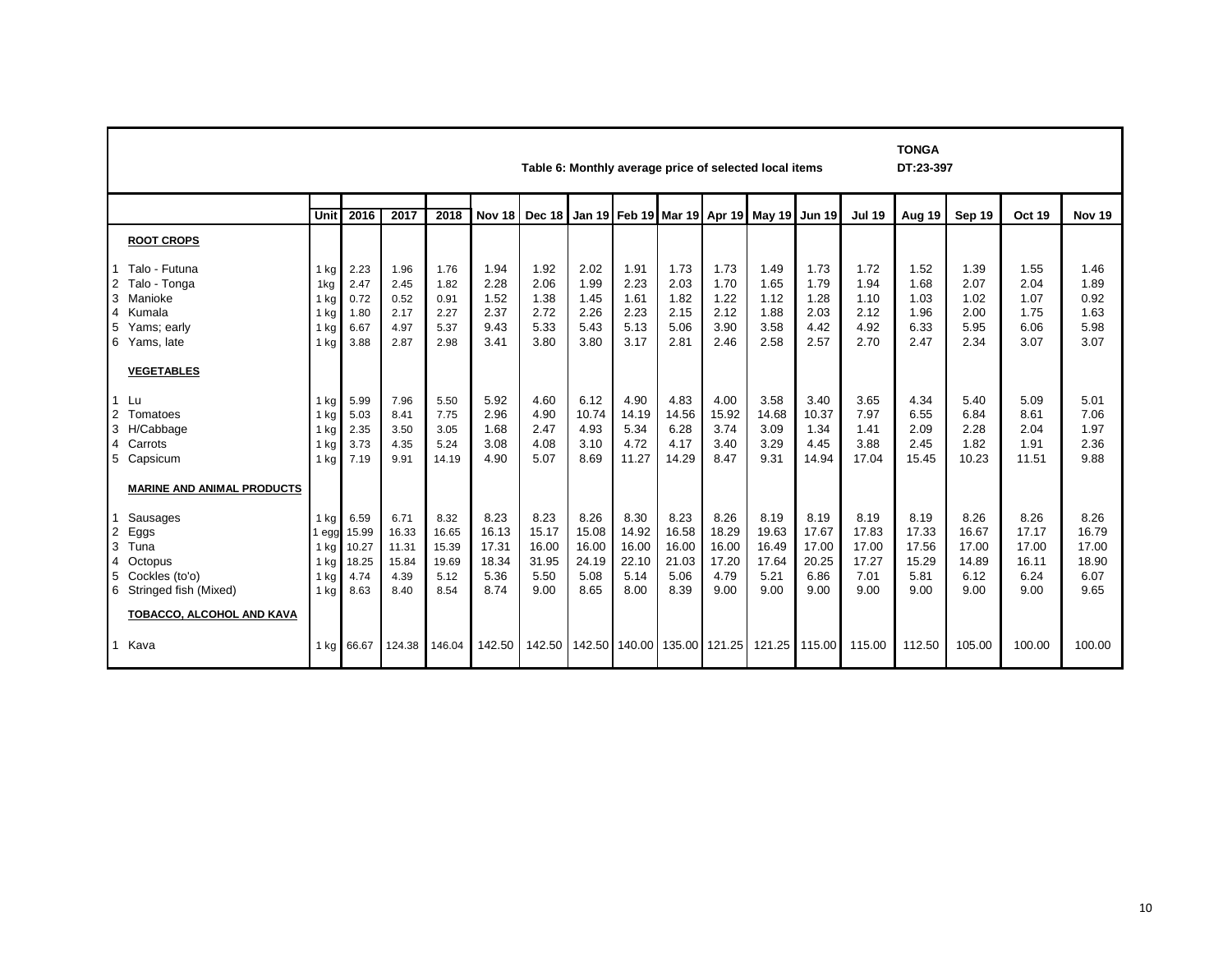|                                                                                | <b>TONGA</b><br>Table 6: Monthly average price of selected local items<br>DT:23-397                                                                                   |                                                                     |                                                              |                                                              |                                                              |                                                              |                                                              |                                                               |                                                               |                                                               |                                                               |                                                               |                                                               |                                                              |                                                              |                                                              |                                                              |                                                              |
|--------------------------------------------------------------------------------|-----------------------------------------------------------------------------------------------------------------------------------------------------------------------|---------------------------------------------------------------------|--------------------------------------------------------------|--------------------------------------------------------------|--------------------------------------------------------------|--------------------------------------------------------------|--------------------------------------------------------------|---------------------------------------------------------------|---------------------------------------------------------------|---------------------------------------------------------------|---------------------------------------------------------------|---------------------------------------------------------------|---------------------------------------------------------------|--------------------------------------------------------------|--------------------------------------------------------------|--------------------------------------------------------------|--------------------------------------------------------------|--------------------------------------------------------------|
|                                                                                | 2016<br>2018<br>Unit<br>2017<br>Nov 18<br>Dec 18 Jan 19 Feb 19 Mar 19 Apr 19 May 19 Jun 19<br><b>Jul 19</b><br><b>Oct 19</b><br>Aug 19<br>Sep 19<br>Nov <sub>19</sub> |                                                                     |                                                              |                                                              |                                                              |                                                              |                                                              |                                                               |                                                               |                                                               |                                                               |                                                               |                                                               |                                                              |                                                              |                                                              |                                                              |                                                              |
|                                                                                | <b>ROOT CROPS</b>                                                                                                                                                     |                                                                     |                                                              |                                                              |                                                              |                                                              |                                                              |                                                               |                                                               |                                                               |                                                               |                                                               |                                                               |                                                              |                                                              |                                                              |                                                              |                                                              |
| $\overline{2}$<br>3<br>$\overline{4}$<br>5<br>6<br>$\vert$ 1<br>$\overline{2}$ | Talo - Futuna<br>Talo - Tonga<br>Manioke<br>Kumala<br>Yams; early<br>Yams, late<br><b>VEGETABLES</b><br>Lu<br>Tomatoes                                                | 1 kg<br>1kg<br>$1$ kg<br>1 kg<br>$1$ kg<br>$1$ kg<br>1 kg<br>$1$ kg | 2.23<br>2.47<br>0.72<br>1.80<br>6.67<br>3.88<br>5.99<br>5.03 | 1.96<br>2.45<br>0.52<br>2.17<br>4.97<br>2.87<br>7.96<br>8.41 | 1.76<br>1.82<br>0.91<br>2.27<br>5.37<br>2.98<br>5.50<br>7.75 | 1.94<br>2.28<br>1.52<br>2.37<br>9.43<br>3.41<br>5.92<br>2.96 | 1.92<br>2.06<br>1.38<br>2.72<br>5.33<br>3.80<br>4.60<br>4.90 | 2.02<br>1.99<br>1.45<br>2.26<br>5.43<br>3.80<br>6.12<br>10.74 | 1.91<br>2.23<br>1.61<br>2.23<br>5.13<br>3.17<br>4.90<br>14.19 | 1.73<br>2.03<br>1.82<br>2.15<br>5.06<br>2.81<br>4.83<br>14.56 | 1.73<br>1.70<br>1.22<br>2.12<br>3.90<br>2.46<br>4.00<br>15.92 | 1.49<br>1.65<br>1.12<br>1.88<br>3.58<br>2.58<br>3.58<br>14.68 | 1.73<br>1.79<br>1.28<br>2.03<br>4.42<br>2.57<br>3.40<br>10.37 | 1.72<br>1.94<br>1.10<br>2.12<br>4.92<br>2.70<br>3.65<br>7.97 | 1.52<br>1.68<br>1.03<br>1.96<br>6.33<br>2.47<br>4.34<br>6.55 | 1.39<br>2.07<br>1.02<br>2.00<br>5.95<br>2.34<br>5.40<br>6.84 | 1.55<br>2.04<br>1.07<br>1.75<br>6.06<br>3.07<br>5.09<br>8.61 | 1.46<br>1.89<br>0.92<br>1.63<br>5.98<br>3.07<br>5.01<br>7.06 |
| 3<br>$\overline{4}$<br>5                                                       | H/Cabbage<br>Carrots<br>Capsicum<br><b>MARINE AND ANIMAL PRODUCTS</b>                                                                                                 | 1 kg<br>$1$ kg<br>$1$ kg                                            | 2.35<br>3.73<br>7.19                                         | 3.50<br>4.35<br>9.91                                         | 3.05<br>5.24<br>14.19                                        | 1.68<br>3.08<br>4.90                                         | 2.47<br>4.08<br>5.07                                         | 4.93<br>3.10<br>8.69                                          | 5.34<br>4.72<br>11.27                                         | 6.28<br>4.17<br>14.29                                         | 3.74<br>3.40<br>8.47                                          | 3.09<br>3.29<br>9.31                                          | 1.34<br>4.45<br>14.94                                         | 1.41<br>3.88<br>17.04                                        | 2.09<br>2.45<br>15.45                                        | 2.28<br>1.82<br>10.23                                        | 2.04<br>1.91<br>11.51                                        | 1.97<br>2.36<br>9.88                                         |
| $\overline{2}$<br>3<br>$\overline{4}$<br>5<br>6                                | Sausages<br>Eggs<br>Tuna<br>Octopus<br>Cockles (to'o)<br>Stringed fish (Mixed)<br>TOBACCO, ALCOHOL AND KAVA                                                           | $1$ kg<br>1 <sub>egg</sub><br>1 kg<br>$1$ kg<br>1 kg<br>1 kg        | 6.59<br>15.99<br>10.27<br>18.25<br>4.74<br>8.63              | 6.71<br>16.33<br>11.31<br>15.84<br>4.39<br>8.40              | 8.32<br>16.65<br>15.39<br>19.69<br>5.12<br>8.54              | 8.23<br>16.13<br>17.31<br>18.34<br>5.36<br>8.74              | 8.23<br>15.17<br>16.00<br>31.95<br>5.50<br>9.00              | 8.26<br>15.08<br>16.00<br>24.19<br>5.08<br>8.65               | 8.30<br>14.92<br>16.00<br>22.10<br>5.14<br>8.00               | 8.23<br>16.58<br>16.00<br>21.03<br>5.06<br>8.39               | 8.26<br>18.29<br>16.00<br>17.20<br>4.79<br>9.00               | 8.19<br>19.63<br>16.49<br>17.64<br>5.21<br>9.00               | 8.19<br>17.67<br>17.00<br>20.25<br>6.86<br>9.00               | 8.19<br>17.83<br>17.00<br>17.27<br>7.01<br>9.00              | 8.19<br>17.33<br>17.56<br>15.29<br>5.81<br>9.00              | 8.26<br>16.67<br>17.00<br>14.89<br>6.12<br>9.00              | 8.26<br>17.17<br>17.00<br>16.11<br>6.24<br>9.00              | 8.26<br>16.79<br>17.00<br>18.90<br>6.07<br>9.65              |
|                                                                                | Kava                                                                                                                                                                  |                                                                     | 1 kg 66.67                                                   | 124.38                                                       | 146.04                                                       | 142.50                                                       | 142.50                                                       |                                                               |                                                               |                                                               | 142.50   140.00   135.00   121.25                             | 121.25 115.00                                                 |                                                               | 115.00                                                       | 112.50                                                       | 105.00                                                       | 100.00                                                       | 100.00                                                       |

 $\Gamma$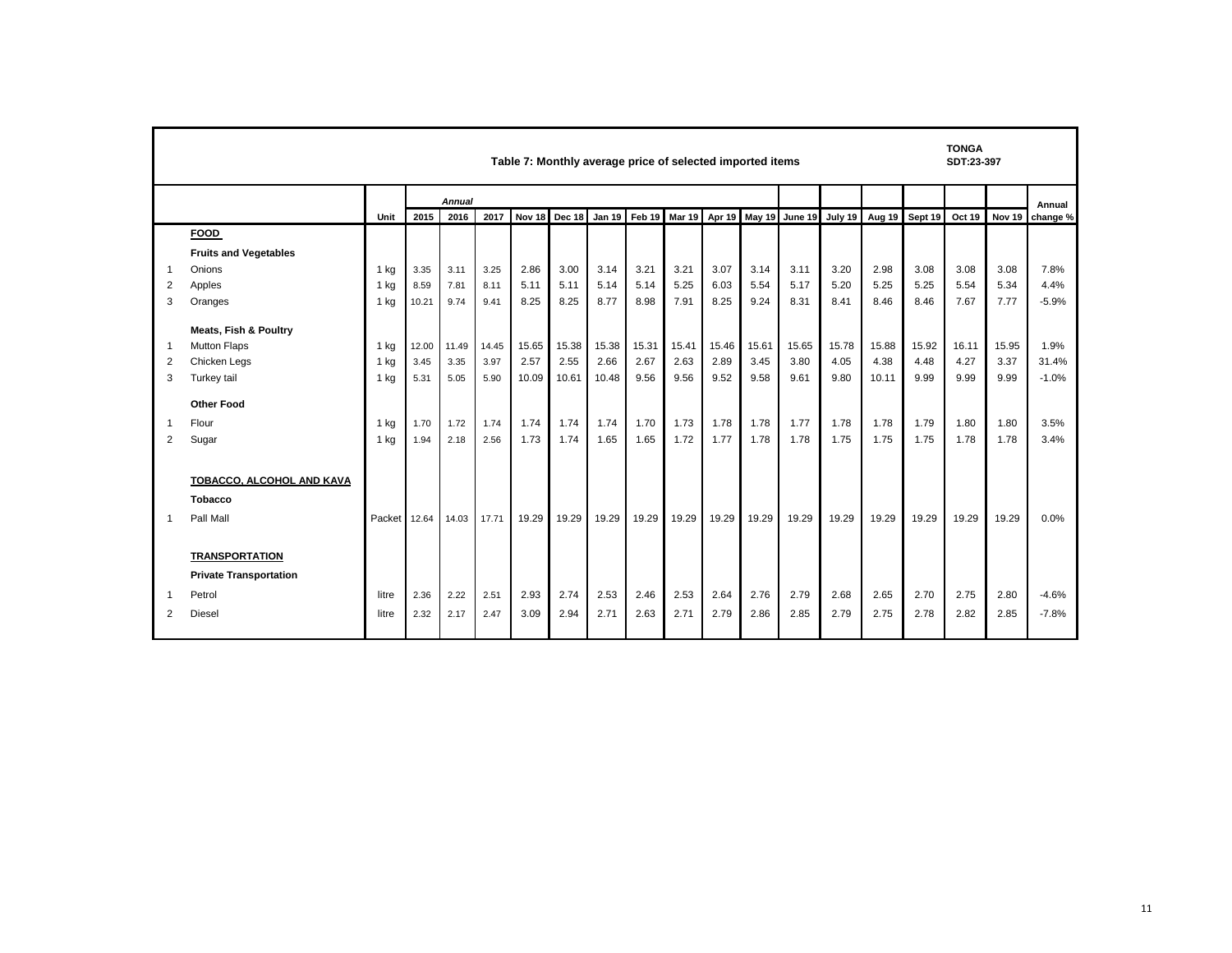|    | <b>TONGA</b><br>Table 7: Monthly average price of selected imported items<br>SDT:23-397 |                 |       |        |       |       |               |               |       |       |       |       |                                     |                |        |         |        |                   |          |
|----|-----------------------------------------------------------------------------------------|-----------------|-------|--------|-------|-------|---------------|---------------|-------|-------|-------|-------|-------------------------------------|----------------|--------|---------|--------|-------------------|----------|
|    |                                                                                         |                 |       | Annual |       |       |               |               |       |       |       |       |                                     |                |        |         |        |                   | Annual   |
|    |                                                                                         | Unit            | 2015  | 2016   | 2017  |       | Nov 18 Dec 18 | <b>Jan 19</b> |       |       |       |       | Feb 19 Mar 19 Apr 19 May 19 June 19 | <b>July 19</b> | Aug 19 | Sept 19 | Oct 19 | Nov <sub>19</sub> | change % |
|    | <b>FOOD</b>                                                                             |                 |       |        |       |       |               |               |       |       |       |       |                                     |                |        |         |        |                   |          |
|    | <b>Fruits and Vegetables</b>                                                            |                 |       |        |       |       |               |               |       |       |       |       |                                     |                |        |         |        |                   |          |
| -1 | Onions                                                                                  | 1 kg            | 3.35  | 3.11   | 3.25  | 2.86  | 3.00          | 3.14          | 3.21  | 3.21  | 3.07  | 3.14  | 3.11                                | 3.20           | 2.98   | 3.08    | 3.08   | 3.08              | 7.8%     |
| 2  | Apples                                                                                  | 1 <sub>kg</sub> | 8.59  | 7.81   | 8.11  | 5.11  | 5.11          | 5.14          | 5.14  | 5.25  | 6.03  | 5.54  | 5.17                                | 5.20           | 5.25   | 5.25    | 5.54   | 5.34              | 4.4%     |
| 3  | Oranges                                                                                 | 1 <sub>kq</sub> | 10.21 | 9.74   | 9.41  | 8.25  | 8.25          | 8.77          | 8.98  | 7.91  | 8.25  | 9.24  | 8.31                                | 8.41           | 8.46   | 8.46    | 7.67   | 7.77              | $-5.9%$  |
|    | <b>Meats, Fish &amp; Poultry</b>                                                        |                 |       |        |       |       |               |               |       |       |       |       |                                     |                |        |         |        |                   |          |
| -1 | <b>Mutton Flaps</b>                                                                     | 1 kg            | 12.00 | 11.49  | 14.45 | 15.65 | 15.38         | 15.38         | 15.31 | 15.41 | 15.46 | 15.61 | 15.65                               | 15.78          | 15.88  | 15.92   | 16.11  | 15.95             | 1.9%     |
| 2  | Chicken Legs                                                                            | 1 <sub>ka</sub> | 3.45  | 3.35   | 3.97  | 2.57  | 2.55          | 2.66          | 2.67  | 2.63  | 2.89  | 3.45  | 3.80                                | 4.05           | 4.38   | 4.48    | 4.27   | 3.37              | 31.4%    |
| 3  | Turkey tail                                                                             | 1 <sub>ka</sub> | 5.31  | 5.05   | 5.90  | 10.09 | 10.61         | 10.48         | 9.56  | 9.56  | 9.52  | 9.58  | 9.61                                | 9.80           | 10.11  | 9.99    | 9.99   | 9.99              | $-1.0%$  |
|    | <b>Other Food</b>                                                                       |                 |       |        |       |       |               |               |       |       |       |       |                                     |                |        |         |        |                   |          |
| -1 | Flour                                                                                   | 1 kg            | 1.70  | 1.72   | 1.74  | 1.74  | 1.74          | 1.74          | 1.70  | 1.73  | 1.78  | 1.78  | 1.77                                | 1.78           | 1.78   | 1.79    | 1.80   | 1.80              | 3.5%     |
| 2  | Sugar                                                                                   | 1 <sub>ka</sub> | 1.94  | 2.18   | 2.56  | 1.73  | 1.74          | 1.65          | 1.65  | 1.72  | 1.77  | 1.78  | 1.78                                | 1.75           | 1.75   | 1.75    | 1.78   | 1.78              | 3.4%     |
|    |                                                                                         |                 |       |        |       |       |               |               |       |       |       |       |                                     |                |        |         |        |                   |          |
|    | TOBACCO, ALCOHOL AND KAVA                                                               |                 |       |        |       |       |               |               |       |       |       |       |                                     |                |        |         |        |                   |          |
|    | <b>Tobacco</b>                                                                          |                 |       |        |       |       |               |               |       |       |       |       |                                     |                |        |         |        |                   |          |
|    | Pall Mall                                                                               | Packet 12.64    |       | 14.03  | 17.71 | 19.29 | 19.29         | 19.29         | 19.29 | 19.29 | 19.29 | 19.29 | 19.29                               | 19.29          | 19.29  | 19.29   | 19.29  | 19.29             | 0.0%     |
|    |                                                                                         |                 |       |        |       |       |               |               |       |       |       |       |                                     |                |        |         |        |                   |          |
|    | <b>TRANSPORTATION</b>                                                                   |                 |       |        |       |       |               |               |       |       |       |       |                                     |                |        |         |        |                   |          |
|    | <b>Private Transportation</b>                                                           |                 |       |        |       |       |               |               |       |       |       |       |                                     |                |        |         |        |                   |          |
| -1 | Petrol                                                                                  | litre           | 2.36  | 2.22   | 2.51  | 2.93  | 2.74          | 2.53          | 2.46  | 2.53  | 2.64  | 2.76  | 2.79                                | 2.68           | 2.65   | 2.70    | 2.75   | 2.80              | $-4.6%$  |
| 2  | Diesel                                                                                  | litre           | 2.32  | 2.17   | 2.47  | 3.09  | 2.94          | 2.71          | 2.63  | 2.71  | 2.79  | 2.86  | 2.85                                | 2.79           | 2.75   | 2.78    | 2.82   | 2.85              | $-7.8%$  |
|    |                                                                                         |                 |       |        |       |       |               |               |       |       |       |       |                                     |                |        |         |        |                   |          |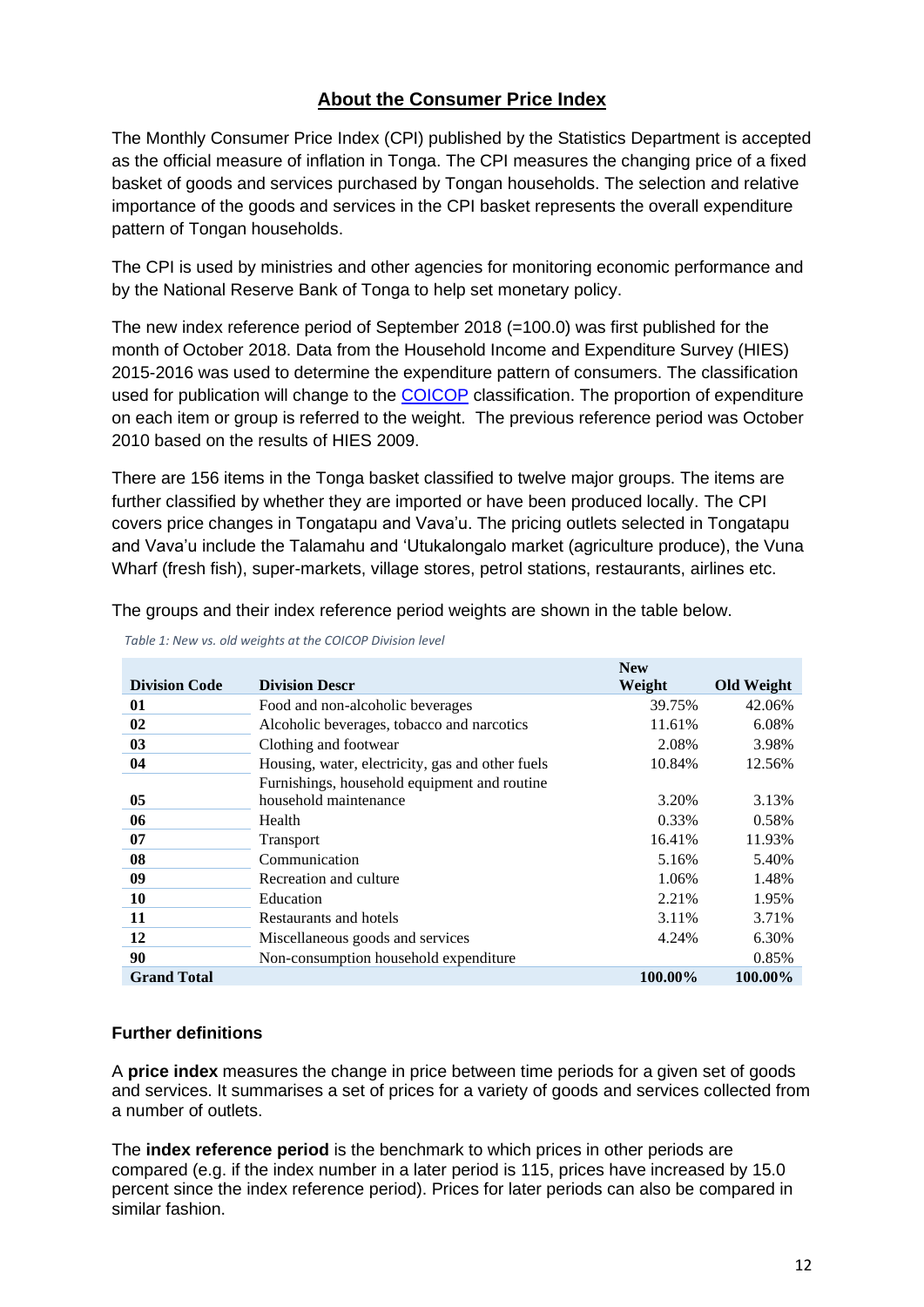### **About the Consumer Price Index**

The Monthly Consumer Price Index (CPI) published by the Statistics Department is accepted as the official measure of inflation in Tonga. The CPI measures the changing price of a fixed basket of goods and services purchased by Tongan households. The selection and relative importance of the goods and services in the CPI basket represents the overall expenditure pattern of Tongan households.

The CPI is used by ministries and other agencies for monitoring economic performance and by the National Reserve Bank of Tonga to help set monetary policy.

The new index reference period of September 2018 (=100.0) was first published for the month of October 2018. Data from the Household Income and Expenditure Survey (HIES) 2015-2016 was used to determine the expenditure pattern of consumers. The classification used for publication will change to the [COICOP](https://unstats.un.org/unsd/iiss/Classification-of-Individual-Consumption-According-to-Purpose-COICOP.ashx) classification. The proportion of expenditure on each item or group is referred to the weight. The previous reference period was October 2010 based on the results of HIES 2009.

There are 156 items in the Tonga basket classified to twelve major groups. The items are further classified by whether they are imported or have been produced locally. The CPI covers price changes in Tongatapu and Vava'u. The pricing outlets selected in Tongatapu and Vava'u include the Talamahu and 'Utukalongalo market (agriculture produce), the Vuna Wharf (fresh fish), super-markets, village stores, petrol stations, restaurants, airlines etc.

The groups and their index reference period weights are shown in the table below.

|                      |                                                  | <b>New</b> |                   |
|----------------------|--------------------------------------------------|------------|-------------------|
| <b>Division Code</b> | <b>Division Descr</b>                            | Weight     | <b>Old Weight</b> |
| 01                   | Food and non-alcoholic beverages                 | 39.75%     | 42.06%            |
| 02                   | Alcoholic beverages, tobacco and narcotics       | 11.61%     | 6.08%             |
| 03                   | Clothing and footwear                            | 2.08%      | 3.98%             |
| 04                   | Housing, water, electricity, gas and other fuels | 10.84%     | 12.56%            |
|                      | Furnishings, household equipment and routine     |            |                   |
| 05                   | household maintenance                            | 3.20%      | 3.13%             |
| 06                   | Health                                           | 0.33%      | 0.58%             |
| 07                   | <b>Transport</b>                                 | 16.41%     | 11.93%            |
| 08                   | Communication                                    | 5.16%      | 5.40%             |
| 09                   | Recreation and culture                           | 1.06%      | 1.48%             |
| 10                   | Education                                        | 2.21%      | 1.95%             |
| 11                   | Restaurants and hotels                           | 3.11%      | 3.71%             |
| 12                   | Miscellaneous goods and services                 | 4.24%      | 6.30%             |
| 90                   | Non-consumption household expenditure            |            | 0.85%             |
| <b>Grand Total</b>   |                                                  | 100.00%    | 100.00%           |

 *Table 1: New vs. old weights at the COICOP Division level* 

### **Further definitions**

A **price index** measures the change in price between time periods for a given set of goods and services. It summarises a set of prices for a variety of goods and services collected from a number of outlets.

The **index reference period** is the benchmark to which prices in other periods are compared (e.g. if the index number in a later period is 115, prices have increased by 15.0 percent since the index reference period). Prices for later periods can also be compared in similar fashion.